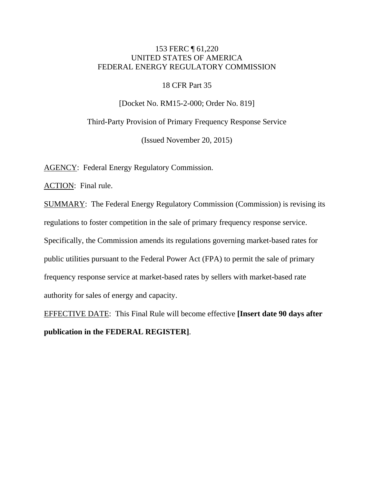# 153 FERC ¶ 61,220 UNITED STATES OF AMERICA FEDERAL ENERGY REGULATORY COMMISSION

### 18 CFR Part 35

[Docket No. RM15-2-000; Order No. 819]

Third-Party Provision of Primary Frequency Response Service

(Issued November 20, 2015)

AGENCY: Federal Energy Regulatory Commission.

ACTION: Final rule.

SUMMARY: The Federal Energy Regulatory Commission (Commission) is revising its regulations to foster competition in the sale of primary frequency response service. Specifically, the Commission amends its regulations governing market-based rates for public utilities pursuant to the Federal Power Act (FPA) to permit the sale of primary frequency response service at market-based rates by sellers with market-based rate authority for sales of energy and capacity.

EFFECTIVE DATE: This Final Rule will become effective **[Insert date 90 days after publication in the FEDERAL REGISTER]**.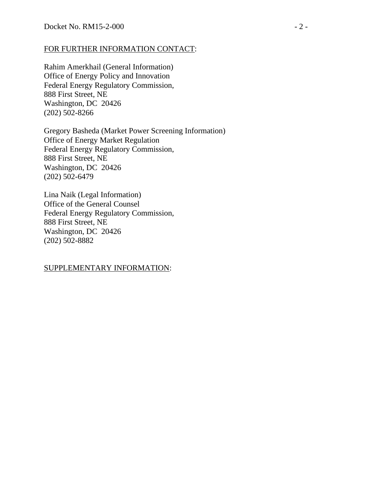## FOR FURTHER INFORMATION CONTACT:

Rahim Amerkhail (General Information) Office of Energy Policy and Innovation Federal Energy Regulatory Commission, 888 First Street, NE Washington, DC 20426 (202) 502-8266

Gregory Basheda (Market Power Screening Information) Office of Energy Market Regulation Federal Energy Regulatory Commission, 888 First Street, NE Washington, DC 20426 (202) 502-6479

Lina Naik (Legal Information) Office of the General Counsel Federal Energy Regulatory Commission, 888 First Street, NE Washington, DC 20426 (202) 502-8882

## SUPPLEMENTARY INFORMATION: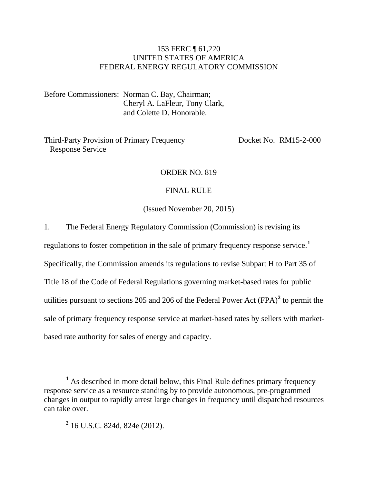# 153 FERC ¶ 61,220 UNITED STATES OF AMERICA FEDERAL ENERGY REGULATORY COMMISSION

Before Commissioners: Norman C. Bay, Chairman; Cheryl A. LaFleur, Tony Clark, and Colette D. Honorable.

Third-Party Provision of Primary Frequency Response Service

Docket No. RM15-2-000

# ORDER NO. 819

#### FINAL RULE

(Issued November 20, 2015)

1. The Federal Energy Regulatory Commission (Commission) is revising its

regulations to foster competition in the sale of primary frequency response service.**[1](#page-2-0)**

Specifically, the Commission amends its regulations to revise Subpart H to Part 35 of

Title 18 of the Code of Federal Regulations governing market-based rates for public

utilities pursuant to sections [2](#page-2-1)05 and 206 of the Federal Power Act  $(FPA)^2$  to permit the

sale of primary frequency response service at market-based rates by sellers with market-

based rate authority for sales of energy and capacity.

<span id="page-2-1"></span><span id="page-2-0"></span>**<sup>1</sup>** As described in more detail below, this Final Rule defines primary frequency response service as a resource standing by to provide autonomous, pre-programmed changes in output to rapidly arrest large changes in frequency until dispatched resources can take over.

**<sup>2</sup>** 16 U.S.C. 824d, 824e (2012).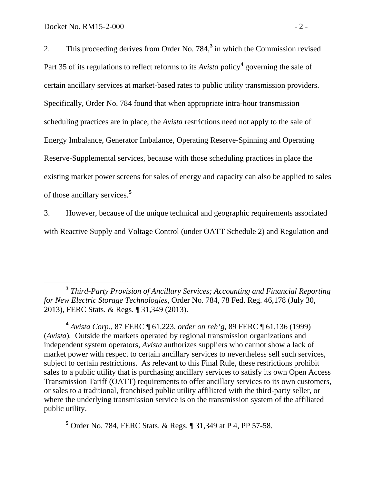2. This proceeding derives from Order No.  $784<sup>3</sup>$  $784<sup>3</sup>$  $784<sup>3</sup>$  in which the Commission revised Part 35 of its regulations to reflect reforms to its *Avista* policy**[4](#page-3-1)** governing the sale of certain ancillary services at market-based rates to public utility transmission providers. Specifically, Order No. 784 found that when appropriate intra-hour transmission scheduling practices are in place, the *Avista* restrictions need not apply to the sale of Energy Imbalance, Generator Imbalance, Operating Reserve-Spinning and Operating Reserve-Supplemental services, because with those scheduling practices in place the existing market power screens for sales of energy and capacity can also be applied to sales of those ancillary services.**[5](#page-3-2)**

3. However, because of the unique technical and geographic requirements associated with Reactive Supply and Voltage Control (under OATT Schedule 2) and Regulation and

<span id="page-3-2"></span>**<sup>5</sup>** Order No. 784, FERC Stats. & Regs. ¶ 31,349 at P 4, PP 57-58.

<span id="page-3-0"></span>**<sup>3</sup>** *Third-Party Provision of Ancillary Services; Accounting and Financial Reporting for New Electric Storage Technologies*, Order No. 784, 78 Fed. Reg. 46,178 (July 30, 2013), FERC Stats. & Regs. ¶ 31,349 (2013).

<span id="page-3-1"></span>**<sup>4</sup>** *Avista Corp*., 87 FERC ¶ 61,223, *order on reh'g*, 89 FERC ¶ 61,136 (1999) (*Avista*)*.* Outside the markets operated by regional transmission organizations and independent system operators, *Avista* authorizes suppliers who cannot show a lack of market power with respect to certain ancillary services to nevertheless sell such services, subject to certain restrictions. As relevant to this Final Rule, these restrictions prohibit sales to a public utility that is purchasing ancillary services to satisfy its own Open Access Transmission Tariff (OATT) requirements to offer ancillary services to its own customers, or sales to a traditional, franchised public utility affiliated with the third-party seller, or where the underlying transmission service is on the transmission system of the affiliated public utility.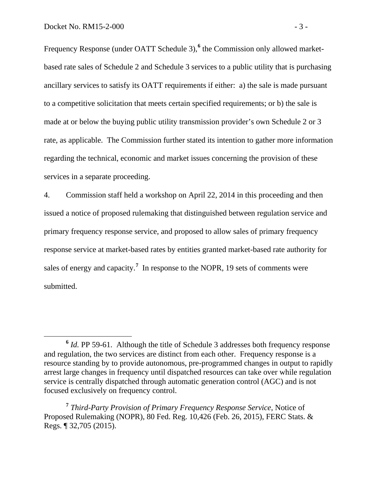Frequency Response (under OATT Schedule 3),<sup>[6](#page-4-0)</sup> the Commission only allowed marketbased rate sales of Schedule 2 and Schedule 3 services to a public utility that is purchasing ancillary services to satisfy its OATT requirements if either: a) the sale is made pursuant to a competitive solicitation that meets certain specified requirements; or b) the sale is made at or below the buying public utility transmission provider's own Schedule 2 or 3 rate, as applicable. The Commission further stated its intention to gather more information regarding the technical, economic and market issues concerning the provision of these services in a separate proceeding.

4. Commission staff held a workshop on April 22, 2014 in this proceeding and then issued a notice of proposed rulemaking that distinguished between regulation service and primary frequency response service, and proposed to allow sales of primary frequency response service at market-based rates by entities granted market-based rate authority for sales of energy and capacity.<sup>[7](#page-4-1)</sup> In response to the NOPR, 19 sets of comments were submitted.

<span id="page-4-0"></span>**<sup>6</sup>** *Id.* PP 59-61. Although the title of Schedule 3 addresses both frequency response and regulation, the two services are distinct from each other. Frequency response is a resource standing by to provide autonomous, pre-programmed changes in output to rapidly arrest large changes in frequency until dispatched resources can take over while regulation service is centrally dispatched through automatic generation control (AGC) and is not focused exclusively on frequency control.

<span id="page-4-1"></span>**<sup>7</sup>** *Third-Party Provision of Primary Frequency Response Service*, Notice of Proposed Rulemaking (NOPR), 80 Fed. Reg. 10,426 (Feb. 26, 2015), FERC Stats. & Regs. ¶ 32,705 (2015).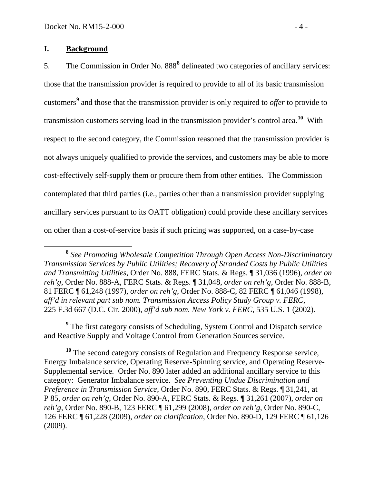## **I. Background**

5. The Commission in Order No. [8](#page-5-0)88<sup>8</sup> delineated two categories of ancillary services: those that the transmission provider is required to provide to all of its basic transmission customers**[9](#page-5-1)** and those that the transmission provider is only required to *offer* to provide to transmission customers serving load in the transmission provider's control area.**[10](#page-5-2)** With respect to the second category, the Commission reasoned that the transmission provider is not always uniquely qualified to provide the services, and customers may be able to more cost-effectively self-supply them or procure them from other entities. The Commission contemplated that third parties (i.e*.*, parties other than a transmission provider supplying ancillary services pursuant to its OATT obligation) could provide these ancillary services on other than a cost-of-service basis if such pricing was supported, on a case-by-case

<span id="page-5-1"></span>**<sup>9</sup>** The first category consists of Scheduling, System Control and Dispatch service and Reactive Supply and Voltage Control from Generation Sources service.

<span id="page-5-2"></span><sup>10</sup> The second category consists of Regulation and Frequency Response service, Energy Imbalance service, Operating Reserve-Spinning service, and Operating Reserve-Supplemental service. Order No. 890 later added an additional ancillary service to this category: Generator Imbalance service. *See Preventing Undue Discrimination and Preference in Transmission Service*, Order No. 890, FERC Stats. & Regs. ¶ 31,241, at P 85, *order on reh'g*, Order No. 890-A, FERC Stats. & Regs. ¶ 31,261 (2007), *order on reh'g*, Order No. 890-B, 123 FERC ¶ 61,299 (2008), *order on reh'g*, Order No. 890-C, 126 FERC ¶ 61,228 (2009), *order on clarification*, Order No. 890-D, 129 FERC ¶ 61,126 (2009).

<span id="page-5-0"></span>**<sup>8</sup>** *See Promoting Wholesale Competition Through Open Access Non-Discriminatory Transmission Services by Public Utilities; Recovery of Stranded Costs by Public Utilities and Transmitting Utilities*, Order No. 888, FERC Stats. & Regs. ¶ 31,036 (1996), *order on reh'g*, Order No. 888-A, FERC Stats. & Regs. ¶ 31,048, *order on reh'g*, Order No. 888-B, 81 FERC ¶ 61,248 (1997), *order on reh'g*, Order No. 888-C, 82 FERC ¶ 61,046 (1998), *aff'd in relevant part sub nom. Transmission Access Policy Study Group v. FERC*, 225 F.3d 667 (D.C. Cir. 2000), *aff'd sub nom. New York v. FERC*, 535 U.S. 1 (2002).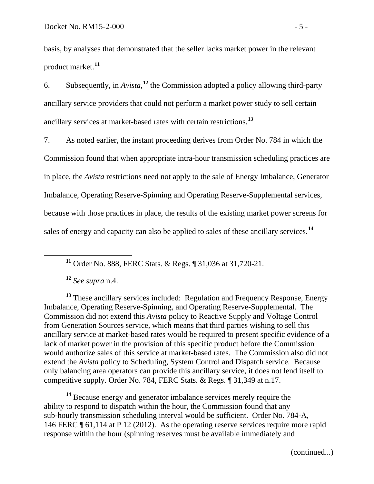basis, by analyses that demonstrated that the seller lacks market power in the relevant product market.**[11](#page-6-0)**

6. Subsequently, in  $Avista$ , <sup>[12](#page-6-1)</sup> the Commission adopted a policy allowing third-party ancillary service providers that could not perform a market power study to sell certain ancillary services at market-based rates with certain restrictions.**[13](#page-6-2)**

7. As noted earlier, the instant proceeding derives from Order No. 784 in which the Commission found that when appropriate intra-hour transmission scheduling practices are in place, the *Avista* restrictions need not apply to the sale of Energy Imbalance, Generator Imbalance, Operating Reserve-Spinning and Operating Reserve-Supplemental services, because with those practices in place, the results of the existing market power screens for sales of energy and capacity can also be applied to sales of these ancillary services.**[14](#page-6-3)**

**<sup>11</sup>** Order No. 888, FERC Stats. & Regs. ¶ 31,036 at 31,720-21.

**<sup>12</sup>** *See supra* n.4.

<span id="page-6-2"></span><span id="page-6-1"></span><span id="page-6-0"></span>**<sup>13</sup>** These ancillary services included: Regulation and Frequency Response, Energy Imbalance, Operating Reserve-Spinning, and Operating Reserve-Supplemental. The Commission did not extend this *Avista* policy to Reactive Supply and Voltage Control from Generation Sources service, which means that third parties wishing to sell this ancillary service at market-based rates would be required to present specific evidence of a lack of market power in the provision of this specific product before the Commission would authorize sales of this service at market-based rates. The Commission also did not extend the *Avista* policy to Scheduling, System Control and Dispatch service. Because only balancing area operators can provide this ancillary service, it does not lend itself to competitive supply. Order No. 784, FERC Stats. & Regs. ¶ 31,349 at n.17.

<span id="page-6-3"></span>**<sup>14</sup>** Because energy and generator imbalance services merely require the ability to respond to dispatch within the hour, the Commission found that any sub-hourly transmission scheduling interval would be sufficient. Order No. 784-A, 146 FERC ¶ 61,114 at P 12 (2012). As the operating reserve services require more rapid response within the hour (spinning reserves must be available immediately and

(continued...)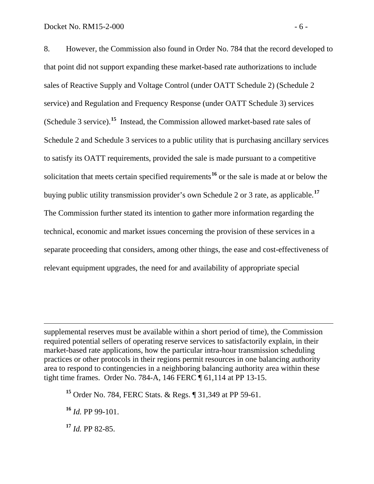8. However, the Commission also found in Order No. 784 that the record developed to that point did not support expanding these market-based rate authorizations to include sales of Reactive Supply and Voltage Control (under OATT Schedule 2) (Schedule 2 service) and Regulation and Frequency Response (under OATT Schedule 3) services (Schedule 3 service). **[15](#page-7-0)** Instead, the Commission allowed market-based rate sales of Schedule 2 and Schedule 3 services to a public utility that is purchasing ancillary services to satisfy its OATT requirements, provided the sale is made pursuant to a competitive solicitation that meets certain specified requirements**[16](#page-7-1)** or the sale is made at or below the buying public utility transmission provider's own Schedule 2 or 3 rate, as applicable.**[17](#page-7-2)** The Commission further stated its intention to gather more information regarding the technical, economic and market issues concerning the provision of these services in a separate proceeding that considers, among other things, the ease and cost-effectiveness of relevant equipment upgrades, the need for and availability of appropriate special

supplemental reserves must be available within a short period of time), the Commission required potential sellers of operating reserve services to satisfactorily explain, in their market-based rate applications, how the particular intra-hour transmission scheduling practices or other protocols in their regions permit resources in one balancing authority area to respond to contingencies in a neighboring balancing authority area within these tight time frames. Order No. 784-A, 146 FERC ¶ 61,114 at PP 13-15.

<span id="page-7-0"></span>**<sup>15</sup>** Order No. 784, FERC Stats. & Regs. ¶ 31,349 at PP 59-61.

<span id="page-7-1"></span>**<sup>16</sup>** *Id.* PP 99-101.

 $\overline{a}$ 

<span id="page-7-2"></span>**<sup>17</sup>** *Id.* PP 82-85.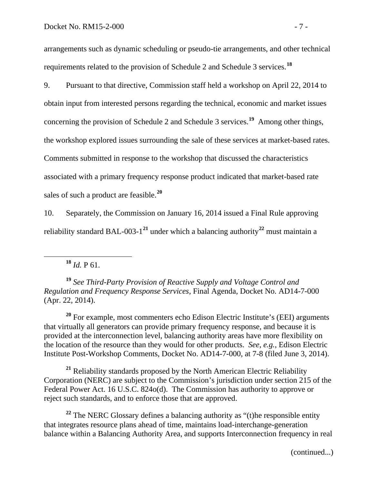arrangements such as dynamic scheduling or pseudo-tie arrangements, and other technical requirements related to the provision of Schedule 2 and Schedule 3 services.**[18](#page-8-0)**

9. Pursuant to that directive, Commission staff held a workshop on April 22, 2014 to obtain input from interested persons regarding the technical, economic and market issues concerning the provision of Schedule 2 and Schedule 3 services.**[19](#page-8-1)** Among other things, the workshop explored issues surrounding the sale of these services at market-based rates. Comments submitted in response to the workshop that discussed the characteristics associated with a primary frequency response product indicated that market-based rate sales of such a product are feasible.**[20](#page-8-2)**

10. Separately, the Commission on January 16, 2014 issued a Final Rule approving reliability standard BAL-003-1**[21](#page-8-3)** under which a balancing authority**[22](#page-8-4)** must maintain a

 $18$  *Id.* P 61.

<span id="page-8-1"></span><span id="page-8-0"></span>**<sup>19</sup>** *See Third-Party Provision of Reactive Supply and Voltage Control and Regulation and Frequency Response Services*, Final Agenda, Docket No. AD14-7-000 (Apr. 22, 2014).

<span id="page-8-2"></span>**<sup>20</sup>** For example, most commenters echo Edison Electric Institute's (EEI) arguments that virtually all generators can provide primary frequency response, and because it is provided at the interconnection level, balancing authority areas have more flexibility on the location of the resource than they would for other products. *See, e.g.*, Edison Electric Institute Post-Workshop Comments, Docket No. AD14-7-000, at 7-8 (filed June 3, 2014).

<span id="page-8-3"></span>**<sup>21</sup>** Reliability standards proposed by the North American Electric Reliability Corporation (NERC) are subject to the Commission's jurisdiction under section 215 of the Federal Power Act. 16 U.S.C. 824o(d). The Commission has authority to approve or reject such standards, and to enforce those that are approved.

<span id="page-8-4"></span>**<sup>22</sup>** The NERC Glossary defines a balancing authority as "(t)he responsible entity that integrates resource plans ahead of time, maintains load-interchange-generation balance within a Balancing Authority Area, and supports Interconnection frequency in real

(continued...)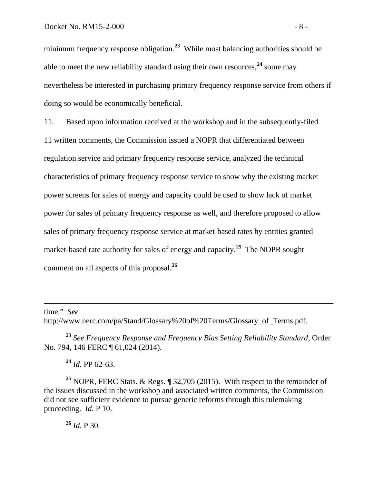minimum frequency response obligation.<sup>[23](#page-9-0)</sup> While most balancing authorities should be able to meet the new reliability standard using their own resources,<sup>[24](#page-9-1)</sup> some may nevertheless be interested in purchasing primary frequency response service from others if doing so would be economically beneficial.

11. Based upon information received at the workshop and in the subsequently-filed 11 written comments, the Commission issued a NOPR that differentiated between regulation service and primary frequency response service, analyzed the technical characteristics of primary frequency response service to show why the existing market power screens for sales of energy and capacity could be used to show lack of market power for sales of primary frequency response as well, and therefore proposed to allow sales of primary frequency response service at market-based rates by entities granted market-based rate authority for sales of energy and capacity.**[25](#page-9-2)** The NOPR sought comment on all aspects of this proposal.**[26](#page-9-3)**

time." *See* 

 $\overline{a}$ 

http://www.nerc.com/pa/Stand/Glossary%20of%20Terms/Glossary\_of\_Terms.pdf.

<span id="page-9-0"></span>**<sup>23</sup>** *See Frequency Response and Frequency Bias Setting Reliability Standard*, Order No. 794, 146 FERC ¶ 61,024 (2014).

**<sup>24</sup>** *Id.* PP 62-63.

<span id="page-9-3"></span><span id="page-9-2"></span><span id="page-9-1"></span>**<sup>25</sup>** NOPR, FERC Stats. & Regs. ¶ 32,705 (2015). With respect to the remainder of the issues discussed in the workshop and associated written comments, the Commission did not see sufficient evidence to pursue generic reforms through this rulemaking proceeding. *Id.* P 10.

**<sup>26</sup>** *Id.* P 30.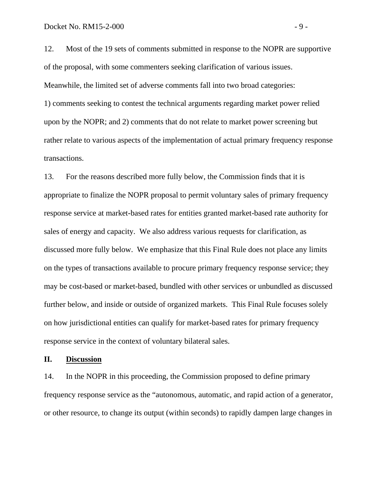12. Most of the 19 sets of comments submitted in response to the NOPR are supportive of the proposal, with some commenters seeking clarification of various issues. Meanwhile, the limited set of adverse comments fall into two broad categories:

1) comments seeking to contest the technical arguments regarding market power relied upon by the NOPR; and 2) comments that do not relate to market power screening but rather relate to various aspects of the implementation of actual primary frequency response transactions.

13. For the reasons described more fully below, the Commission finds that it is appropriate to finalize the NOPR proposal to permit voluntary sales of primary frequency response service at market-based rates for entities granted market-based rate authority for sales of energy and capacity. We also address various requests for clarification, as discussed more fully below. We emphasize that this Final Rule does not place any limits on the types of transactions available to procure primary frequency response service; they may be cost-based or market-based, bundled with other services or unbundled as discussed further below, and inside or outside of organized markets. This Final Rule focuses solely on how jurisdictional entities can qualify for market-based rates for primary frequency response service in the context of voluntary bilateral sales.

### **II. Discussion**

14. In the NOPR in this proceeding, the Commission proposed to define primary frequency response service as the "autonomous, automatic, and rapid action of a generator, or other resource, to change its output (within seconds) to rapidly dampen large changes in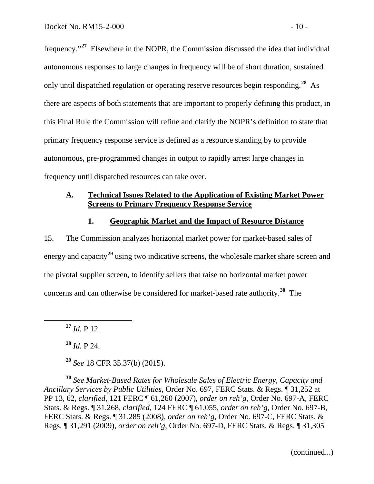frequency."**[27](#page-11-0)** Elsewhere in the NOPR, the Commission discussed the idea that individual autonomous responses to large changes in frequency will be of short duration, sustained only until dispatched regulation or operating reserve resources begin responding.**[28](#page-11-1)** As there are aspects of both statements that are important to properly defining this product, in this Final Rule the Commission will refine and clarify the NOPR's definition to state that primary frequency response service is defined as a resource standing by to provide autonomous, pre-programmed changes in output to rapidly arrest large changes in frequency until dispatched resources can take over.

### **A. Technical Issues Related to the Application of Existing Market Power Screens to Primary Frequency Response Service**

### **1. Geographic Market and the Impact of Resource Distance**

15. The Commission analyzes horizontal market power for market-based sales of energy and capacity**[29](#page-11-2)** using two indicative screens, the wholesale market share screen and the pivotal supplier screen, to identify sellers that raise no horizontal market power concerns and can otherwise be considered for market-based rate authority.**[30](#page-11-3)** The

<span id="page-11-0"></span>**<sup>27</sup>** *Id.* P 12.

**<sup>28</sup>** *Id.* P 24.

**<sup>29</sup>** *See* 18 CFR 35.37(b) (2015).

<span id="page-11-3"></span><span id="page-11-2"></span><span id="page-11-1"></span>**<sup>30</sup>** *See Market-Based Rates for Wholesale Sales of Electric Energy, Capacity and Ancillary Services by Public Utilities*, Order No. 697, FERC Stats. & Regs. ¶ 31,252 at PP 13, 62, *clarified*, 121 FERC ¶ 61,260 (2007), *order on reh'g*, Order No. 697-A, FERC Stats. & Regs. ¶ 31,268, *clarified*, 124 FERC ¶ 61,055, *order on reh'g*, Order No. 697-B, FERC Stats. & Regs. ¶ 31,285 (2008), *order on reh'g*, Order No. 697-C, FERC Stats. & Regs. ¶ 31,291 (2009), *order on reh'g*, Order No. 697-D, FERC Stats. & Regs. ¶ 31,305

(continued...)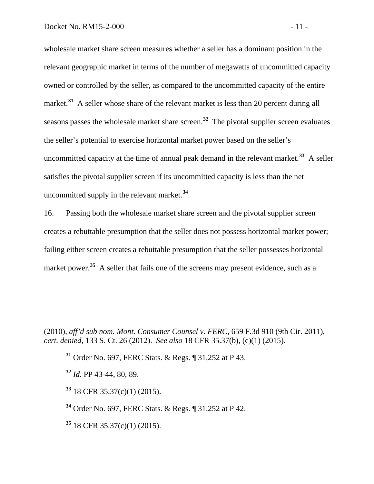wholesale market share screen measures whether a seller has a dominant position in the relevant geographic market in terms of the number of megawatts of uncommitted capacity owned or controlled by the seller, as compared to the uncommitted capacity of the entire market.<sup>[31](#page-12-0)</sup> A seller whose share of the relevant market is less than 20 percent during all seasons passes the wholesale market share screen.**[32](#page-12-1)** The pivotal supplier screen evaluates the seller's potential to exercise horizontal market power based on the seller's uncommitted capacity at the time of annual peak demand in the relevant market.**[33](#page-12-2)** A seller satisfies the pivotal supplier screen if its uncommitted capacity is less than the net uncommitted supply in the relevant market.**[34](#page-12-3)**

16. Passing both the wholesale market share screen and the pivotal supplier screen creates a rebuttable presumption that the seller does not possess horizontal market power; failing either screen creates a rebuttable presumption that the seller possesses horizontal market power.<sup>[35](#page-12-4)</sup> A seller that fails one of the screens may present evidence, such as a

<span id="page-12-1"></span><span id="page-12-0"></span>(2010), *aff'd sub nom. Mont. Consumer Counsel v. FERC*, 659 F.3d 910 (9th Cir. 2011), *cert. denied*, 133 S. Ct. 26 (2012). *See also* 18 CFR 35.37(b), (c)(1) (2015).

**<sup>31</sup>** Order No. 697, FERC Stats. & Regs. ¶ 31,252 at P 43.

**<sup>32</sup>** *Id.* PP 43-44, 80, 89.

 $\overline{a}$ 

<span id="page-12-2"></span>**<sup>33</sup>** 18 CFR 35.37(c)(1) (2015).

<span id="page-12-3"></span>**<sup>34</sup>** Order No. 697, FERC Stats. & Regs. ¶ 31,252 at P 42.

<span id="page-12-4"></span>**<sup>35</sup>** 18 CFR 35.37(c)(1) (2015).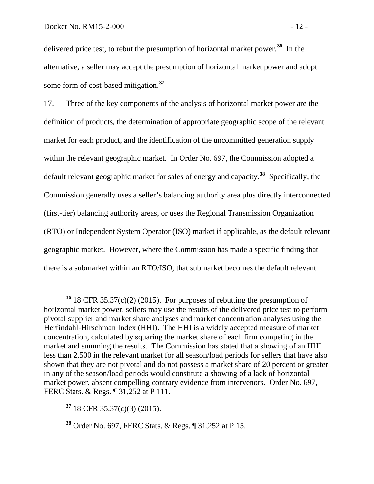delivered price test, to rebut the presumption of horizontal market power.**[36](#page-13-0)** In the alternative, a seller may accept the presumption of horizontal market power and adopt some form of cost-based mitigation.**[37](#page-13-1)**

17. Three of the key components of the analysis of horizontal market power are the definition of products, the determination of appropriate geographic scope of the relevant market for each product, and the identification of the uncommitted generation supply within the relevant geographic market. In Order No. 697, the Commission adopted a default relevant geographic market for sales of energy and capacity. **[38](#page-13-2)** Specifically, the Commission generally uses a seller's balancing authority area plus directly interconnected (first-tier) balancing authority areas, or uses the Regional Transmission Organization (RTO) or Independent System Operator (ISO) market if applicable, as the default relevant geographic market. However, where the Commission has made a specific finding that there is a submarket within an RTO/ISO, that submarket becomes the default relevant

<span id="page-13-1"></span>**<sup>37</sup>** 18 CFR 35.37(c)(3) (2015).

<span id="page-13-0"></span>**<sup>36</sup>** 18 CFR 35.37(c)(2) (2015). For purposes of rebutting the presumption of horizontal market power, sellers may use the results of the delivered price test to perform pivotal supplier and market share analyses and market concentration analyses using the Herfindahl-Hirschman Index (HHI). The HHI is a widely accepted measure of market concentration, calculated by squaring the market share of each firm competing in the market and summing the results. The Commission has stated that a showing of an HHI less than 2,500 in the relevant market for all season/load periods for sellers that have also shown that they are not pivotal and do not possess a market share of 20 percent or greater in any of the season/load periods would constitute a showing of a lack of horizontal market power, absent compelling contrary evidence from intervenors. Order No. 697, FERC Stats. & Regs. ¶ 31,252 at P 111.

<span id="page-13-2"></span>**<sup>38</sup>** Order No. 697, FERC Stats. & Regs. ¶ 31,252 at P 15.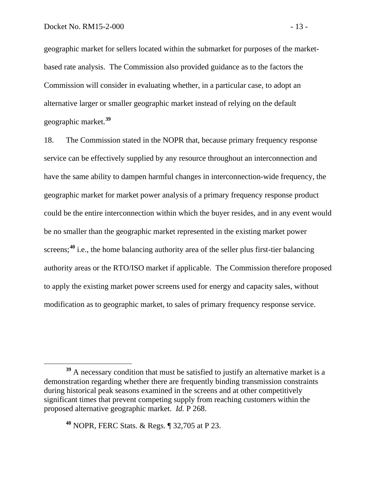geographic market for sellers located within the submarket for purposes of the marketbased rate analysis. The Commission also provided guidance as to the factors the Commission will consider in evaluating whether, in a particular case, to adopt an alternative larger or smaller geographic market instead of relying on the default geographic market.**[39](#page-14-0)**

18. The Commission stated in the NOPR that, because primary frequency response service can be effectively supplied by any resource throughout an interconnection and have the same ability to dampen harmful changes in interconnection-wide frequency, the geographic market for market power analysis of a primary frequency response product could be the entire interconnection within which the buyer resides, and in any event would be no smaller than the geographic market represented in the existing market power screens;<sup>[40](#page-14-1)</sup> i.e., the home balancing authority area of the seller plus first-tier balancing authority areas or the RTO/ISO market if applicable. The Commission therefore proposed to apply the existing market power screens used for energy and capacity sales, without modification as to geographic market, to sales of primary frequency response service.

<span id="page-14-0"></span><sup>&</sup>lt;sup>39</sup> A necessary condition that must be satisfied to justify an alternative market is a demonstration regarding whether there are frequently binding transmission constraints during historical peak seasons examined in the screens and at other competitively significant times that prevent competing supply from reaching customers within the proposed alternative geographic market. *Id.* P 268.

<span id="page-14-1"></span>**<sup>40</sup>** NOPR, FERC Stats. & Regs. ¶ 32,705 at P 23.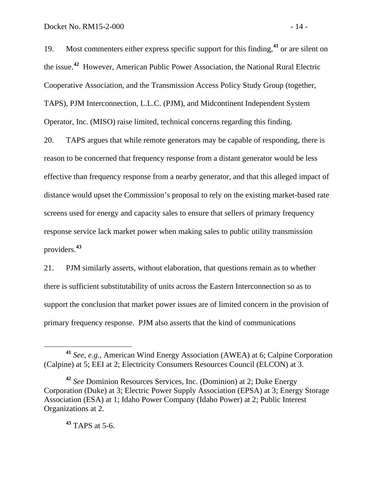19. Most commenters either express specific support for this finding,  $41$  or are silent on the issue.**[42](#page-15-1)** However, American Public Power Association, the National Rural Electric Cooperative Association, and the Transmission Access Policy Study Group (together, TAPS), PJM Interconnection, L.L.C. (PJM), and Midcontinent Independent System Operator, Inc. (MISO) raise limited, technical concerns regarding this finding.

20. TAPS argues that while remote generators may be capable of responding, there is reason to be concerned that frequency response from a distant generator would be less effective than frequency response from a nearby generator, and that this alleged impact of distance would upset the Commission's proposal to rely on the existing market-based rate screens used for energy and capacity sales to ensure that sellers of primary frequency response service lack market power when making sales to public utility transmission providers.**[43](#page-15-2)**

21. PJM similarly asserts, without elaboration, that questions remain as to whether there is sufficient substitutability of units across the Eastern Interconnection so as to support the conclusion that market power issues are of limited concern in the provision of primary frequency response. PJM also asserts that the kind of communications

**<sup>43</sup>** TAPS at 5-6.

<span id="page-15-0"></span>**<sup>41</sup>** *See, e.g.*, American Wind Energy Association (AWEA) at 6; Calpine Corporation (Calpine) at 5; EEI at 2; Electricity Consumers Resources Council (ELCON) at 3.

<span id="page-15-2"></span><span id="page-15-1"></span>**<sup>42</sup>** *See* Dominion Resources Services, Inc. (Dominion) at 2; Duke Energy Corporation (Duke) at 3; Electric Power Supply Association (EPSA) at 3; Energy Storage Association (ESA) at 1; Idaho Power Company (Idaho Power) at 2; Public Interest Organizations at 2.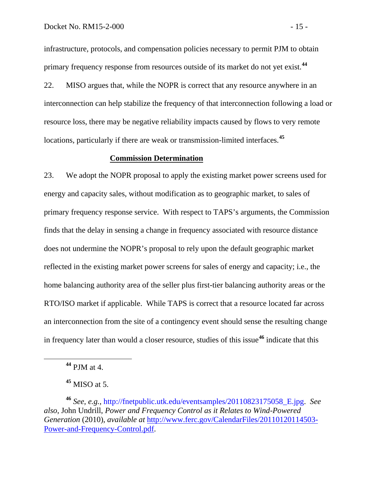infrastructure, protocols, and compensation policies necessary to permit PJM to obtain primary frequency response from resources outside of its market do not yet exist.**[44](#page-16-0)**

22. MISO argues that, while the NOPR is correct that any resource anywhere in an interconnection can help stabilize the frequency of that interconnection following a load or resource loss, there may be negative reliability impacts caused by flows to very remote locations, particularly if there are weak or transmission-limited interfaces.**[45](#page-16-1)**

## **Commission Determination**

23. We adopt the NOPR proposal to apply the existing market power screens used for energy and capacity sales, without modification as to geographic market, to sales of primary frequency response service. With respect to TAPS's arguments, the Commission finds that the delay in sensing a change in frequency associated with resource distance does not undermine the NOPR's proposal to rely upon the default geographic market reflected in the existing market power screens for sales of energy and capacity; i.e., the home balancing authority area of the seller plus first-tier balancing authority areas or the RTO/ISO market if applicable. While TAPS is correct that a resource located far across an interconnection from the site of a contingency event should sense the resulting change in frequency later than would a closer resource, studies of this issue**[46](#page-16-2)** indicate that this

**<sup>44</sup>** PJM at 4.

**<sup>45</sup>** MISO at 5.

<span id="page-16-2"></span><span id="page-16-1"></span><span id="page-16-0"></span>**<sup>46</sup>** *See, e.g.*, [http://fnetpublic.utk.edu/eventsamples/20110823175058\\_E.jpg.](http://fnetpublic.utk.edu/eventsamples/20110823175058_E.jpg) *See also*, John Undrill, *Power and Frequency Control as it Relates to Wind-Powered Generation* (2010), *available at* [http://www.ferc.gov/CalendarFiles/20110120114503-](http://www.ferc.gov/CalendarFiles/20110120114503-Power-and-Frequency-Control.pdf) [Power-and-Frequency-Control.pdf.](http://www.ferc.gov/CalendarFiles/20110120114503-Power-and-Frequency-Control.pdf)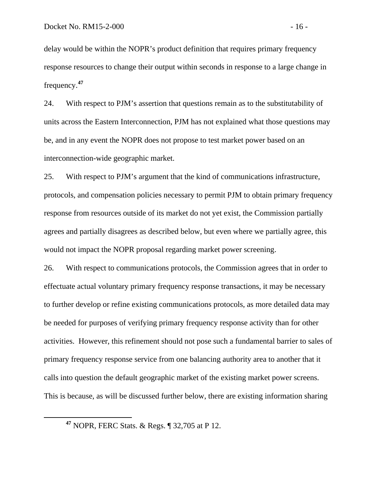delay would be within the NOPR's product definition that requires primary frequency response resources to change their output within seconds in response to a large change in frequency.**[47](#page-17-0)**

24. With respect to PJM's assertion that questions remain as to the substitutability of units across the Eastern Interconnection, PJM has not explained what those questions may be, and in any event the NOPR does not propose to test market power based on an interconnection-wide geographic market.

25. With respect to PJM's argument that the kind of communications infrastructure, protocols, and compensation policies necessary to permit PJM to obtain primary frequency response from resources outside of its market do not yet exist, the Commission partially agrees and partially disagrees as described below, but even where we partially agree, this would not impact the NOPR proposal regarding market power screening.

26. With respect to communications protocols, the Commission agrees that in order to effectuate actual voluntary primary frequency response transactions, it may be necessary to further develop or refine existing communications protocols, as more detailed data may be needed for purposes of verifying primary frequency response activity than for other activities. However, this refinement should not pose such a fundamental barrier to sales of primary frequency response service from one balancing authority area to another that it calls into question the default geographic market of the existing market power screens. This is because, as will be discussed further below, there are existing information sharing

<span id="page-17-0"></span>**<sup>47</sup>** NOPR, FERC Stats. & Regs. ¶ 32,705 at P 12.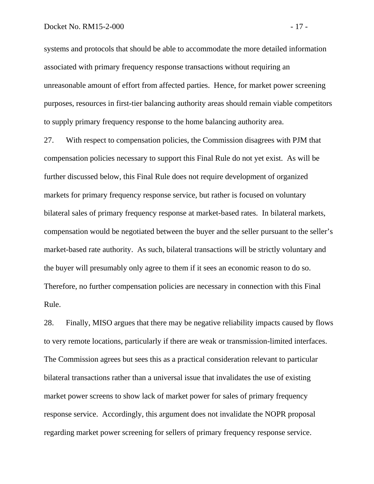systems and protocols that should be able to accommodate the more detailed information associated with primary frequency response transactions without requiring an unreasonable amount of effort from affected parties. Hence, for market power screening purposes, resources in first-tier balancing authority areas should remain viable competitors to supply primary frequency response to the home balancing authority area.

27. With respect to compensation policies, the Commission disagrees with PJM that compensation policies necessary to support this Final Rule do not yet exist. As will be further discussed below, this Final Rule does not require development of organized markets for primary frequency response service, but rather is focused on voluntary bilateral sales of primary frequency response at market-based rates. In bilateral markets, compensation would be negotiated between the buyer and the seller pursuant to the seller's market-based rate authority. As such, bilateral transactions will be strictly voluntary and the buyer will presumably only agree to them if it sees an economic reason to do so. Therefore, no further compensation policies are necessary in connection with this Final Rule.

28. Finally, MISO argues that there may be negative reliability impacts caused by flows to very remote locations, particularly if there are weak or transmission-limited interfaces. The Commission agrees but sees this as a practical consideration relevant to particular bilateral transactions rather than a universal issue that invalidates the use of existing market power screens to show lack of market power for sales of primary frequency response service. Accordingly, this argument does not invalidate the NOPR proposal regarding market power screening for sellers of primary frequency response service.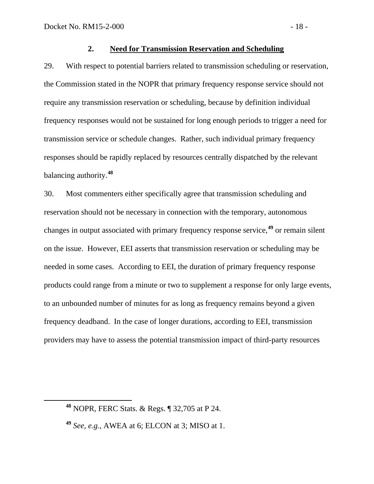### **2. Need for Transmission Reservation and Scheduling**

29. With respect to potential barriers related to transmission scheduling or reservation, the Commission stated in the NOPR that primary frequency response service should not require any transmission reservation or scheduling, because by definition individual frequency responses would not be sustained for long enough periods to trigger a need for transmission service or schedule changes. Rather, such individual primary frequency responses should be rapidly replaced by resources centrally dispatched by the relevant balancing authority.**[48](#page-19-0)**

30. Most commenters either specifically agree that transmission scheduling and reservation should not be necessary in connection with the temporary, autonomous changes in output associated with primary frequency response service,**[49](#page-19-1)** or remain silent on the issue. However, EEI asserts that transmission reservation or scheduling may be needed in some cases. According to EEI, the duration of primary frequency response products could range from a minute or two to supplement a response for only large events, to an unbounded number of minutes for as long as frequency remains beyond a given frequency deadband. In the case of longer durations, according to EEI, transmission providers may have to assess the potential transmission impact of third-party resources

<span id="page-19-0"></span>**<sup>48</sup>** NOPR, FERC Stats. & Regs. ¶ 32,705 at P 24.

<span id="page-19-1"></span>**<sup>49</sup>** *See, e.g.*, AWEA at 6; ELCON at 3; MISO at 1.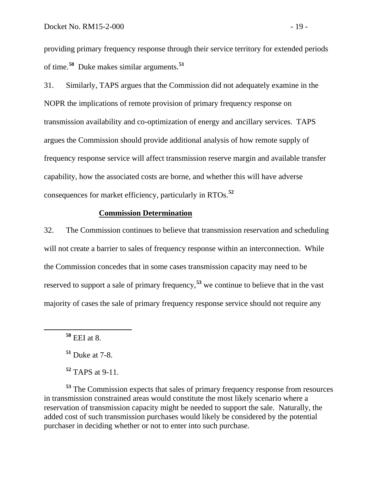providing primary frequency response through their service territory for extended periods of time.**[50](#page-20-0)** Duke makes similar arguments.**[51](#page-20-1)**

31. Similarly, TAPS argues that the Commission did not adequately examine in the NOPR the implications of remote provision of primary frequency response on transmission availability and co-optimization of energy and ancillary services. TAPS argues the Commission should provide additional analysis of how remote supply of frequency response service will affect transmission reserve margin and available transfer capability, how the associated costs are borne, and whether this will have adverse consequences for market efficiency, particularly in RTOs.**[52](#page-20-2)**

### **Commission Determination**

32. The Commission continues to believe that transmission reservation and scheduling will not create a barrier to sales of frequency response within an interconnection. While the Commission concedes that in some cases transmission capacity may need to be reserved to support a sale of primary frequency,**[53](#page-20-3)** we continue to believe that in the vast majority of cases the sale of primary frequency response service should not require any

<span id="page-20-3"></span><span id="page-20-2"></span><span id="page-20-1"></span>**<sup>53</sup>** The Commission expects that sales of primary frequency response from resources in transmission constrained areas would constitute the most likely scenario where a reservation of transmission capacity might be needed to support the sale. Naturally, the added cost of such transmission purchases would likely be considered by the potential purchaser in deciding whether or not to enter into such purchase.

<span id="page-20-0"></span>**<sup>50</sup>** EEI at 8.

**<sup>51</sup>** Duke at 7-8.

**<sup>52</sup>** TAPS at 9-11.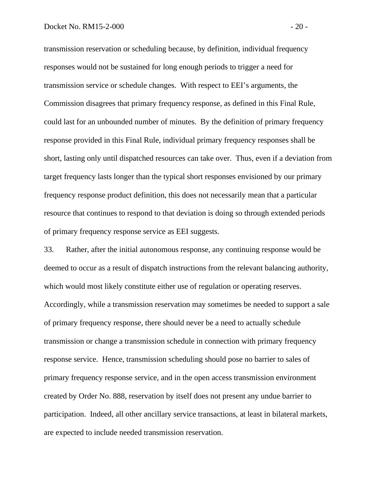transmission reservation or scheduling because, by definition, individual frequency responses would not be sustained for long enough periods to trigger a need for transmission service or schedule changes. With respect to EEI's arguments, the Commission disagrees that primary frequency response, as defined in this Final Rule, could last for an unbounded number of minutes. By the definition of primary frequency response provided in this Final Rule, individual primary frequency responses shall be short, lasting only until dispatched resources can take over. Thus, even if a deviation from target frequency lasts longer than the typical short responses envisioned by our primary frequency response product definition, this does not necessarily mean that a particular resource that continues to respond to that deviation is doing so through extended periods of primary frequency response service as EEI suggests.

33. Rather, after the initial autonomous response, any continuing response would be deemed to occur as a result of dispatch instructions from the relevant balancing authority, which would most likely constitute either use of regulation or operating reserves. Accordingly, while a transmission reservation may sometimes be needed to support a sale of primary frequency response, there should never be a need to actually schedule transmission or change a transmission schedule in connection with primary frequency response service. Hence, transmission scheduling should pose no barrier to sales of primary frequency response service, and in the open access transmission environment created by Order No. 888, reservation by itself does not present any undue barrier to participation. Indeed, all other ancillary service transactions, at least in bilateral markets, are expected to include needed transmission reservation.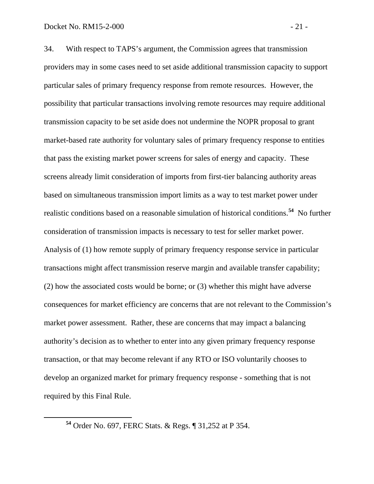34. With respect to TAPS's argument, the Commission agrees that transmission providers may in some cases need to set aside additional transmission capacity to support particular sales of primary frequency response from remote resources. However, the possibility that particular transactions involving remote resources may require additional transmission capacity to be set aside does not undermine the NOPR proposal to grant market-based rate authority for voluntary sales of primary frequency response to entities that pass the existing market power screens for sales of energy and capacity. These screens already limit consideration of imports from first-tier balancing authority areas based on simultaneous transmission import limits as a way to test market power under realistic conditions based on a reasonable simulation of historical conditions. **[54](#page-22-0)** No further consideration of transmission impacts is necessary to test for seller market power. Analysis of (1) how remote supply of primary frequency response service in particular transactions might affect transmission reserve margin and available transfer capability; (2) how the associated costs would be borne; or (3) whether this might have adverse consequences for market efficiency are concerns that are not relevant to the Commission's market power assessment. Rather, these are concerns that may impact a balancing authority's decision as to whether to enter into any given primary frequency response transaction, or that may become relevant if any RTO or ISO voluntarily chooses to develop an organized market for primary frequency response - something that is not required by this Final Rule.

<span id="page-22-0"></span>**<sup>54</sup>** Order No. 697, FERC Stats. & Regs. ¶ 31,252 at P 354.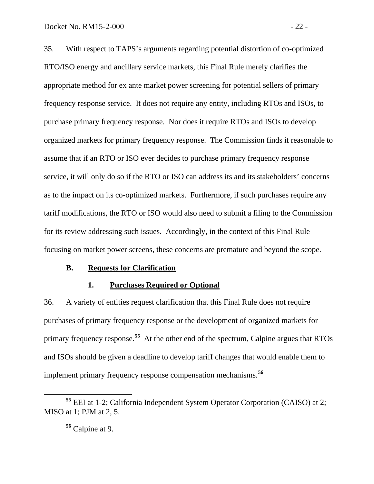35. With respect to TAPS's arguments regarding potential distortion of co-optimized RTO/ISO energy and ancillary service markets, this Final Rule merely clarifies the appropriate method for ex ante market power screening for potential sellers of primary frequency response service. It does not require any entity, including RTOs and ISOs, to purchase primary frequency response. Nor does it require RTOs and ISOs to develop organized markets for primary frequency response. The Commission finds it reasonable to assume that if an RTO or ISO ever decides to purchase primary frequency response service, it will only do so if the RTO or ISO can address its and its stakeholders' concerns as to the impact on its co-optimized markets. Furthermore, if such purchases require any tariff modifications, the RTO or ISO would also need to submit a filing to the Commission for its review addressing such issues. Accordingly, in the context of this Final Rule focusing on market power screens, these concerns are premature and beyond the scope.

#### **B. Requests for Clarification**

## **1. Purchases Required or Optional**

36. A variety of entities request clarification that this Final Rule does not require purchases of primary frequency response or the development of organized markets for primary frequency response.**[55](#page-23-0)** At the other end of the spectrum, Calpine argues that RTOs and ISOs should be given a deadline to develop tariff changes that would enable them to implement primary frequency response compensation mechanisms.**[56](#page-23-1)**

<span id="page-23-1"></span><span id="page-23-0"></span>**<sup>55</sup>** EEI at 1-2; California Independent System Operator Corporation (CAISO) at 2; MISO at 1; PJM at 2, 5.

**<sup>56</sup>** Calpine at 9.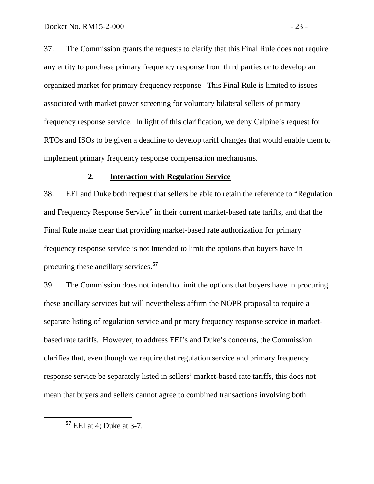37. The Commission grants the requests to clarify that this Final Rule does not require any entity to purchase primary frequency response from third parties or to develop an organized market for primary frequency response. This Final Rule is limited to issues associated with market power screening for voluntary bilateral sellers of primary frequency response service. In light of this clarification, we deny Calpine's request for RTOs and ISOs to be given a deadline to develop tariff changes that would enable them to implement primary frequency response compensation mechanisms.

#### **2. Interaction with Regulation Service**

38. EEI and Duke both request that sellers be able to retain the reference to "Regulation and Frequency Response Service" in their current market-based rate tariffs, and that the Final Rule make clear that providing market-based rate authorization for primary frequency response service is not intended to limit the options that buyers have in procuring these ancillary services.**[57](#page-24-0)**

39. The Commission does not intend to limit the options that buyers have in procuring these ancillary services but will nevertheless affirm the NOPR proposal to require a separate listing of regulation service and primary frequency response service in marketbased rate tariffs. However, to address EEI's and Duke's concerns, the Commission clarifies that, even though we require that regulation service and primary frequency response service be separately listed in sellers' market-based rate tariffs, this does not mean that buyers and sellers cannot agree to combined transactions involving both

<span id="page-24-0"></span>**<sup>57</sup>** EEI at 4; Duke at 3-7.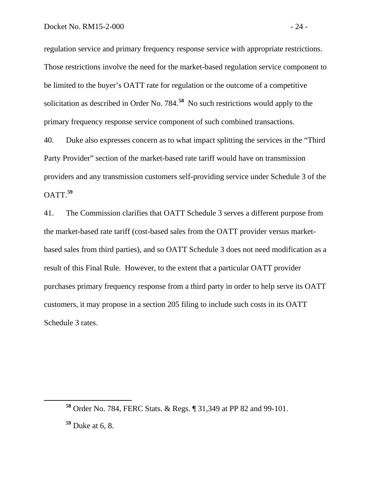regulation service and primary frequency response service with appropriate restrictions. Those restrictions involve the need for the market-based regulation service component to be limited to the buyer's OATT rate for regulation or the outcome of a competitive solicitation as described in Order No. 784.**[58](#page-25-0)** No such restrictions would apply to the primary frequency response service component of such combined transactions.

40. Duke also expresses concern as to what impact splitting the services in the "Third Party Provider" section of the market-based rate tariff would have on transmission providers and any transmission customers self-providing service under Schedule 3 of the OATT.**[59](#page-25-1)**

41. The Commission clarifies that OATT Schedule 3 serves a different purpose from the market-based rate tariff (cost-based sales from the OATT provider versus marketbased sales from third parties), and so OATT Schedule 3 does not need modification as a result of this Final Rule. However, to the extent that a particular OATT provider purchases primary frequency response from a third party in order to help serve its OATT customers, it may propose in a section 205 filing to include such costs in its OATT Schedule 3 rates.

<span id="page-25-0"></span>**<sup>58</sup>** Order No. 784, FERC Stats. & Regs. ¶ 31,349 at PP 82 and 99-101.

<span id="page-25-1"></span>**<sup>59</sup>** Duke at 6, 8.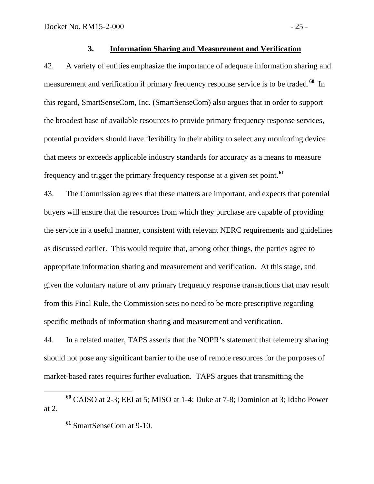## **3. Information Sharing and Measurement and Verification**

42. A variety of entities emphasize the importance of adequate information sharing and measurement and verification if primary frequency response service is to be traded.**[60](#page-26-0)** In this regard, SmartSenseCom, Inc. (SmartSenseCom) also argues that in order to support the broadest base of available resources to provide primary frequency response services, potential providers should have flexibility in their ability to select any monitoring device that meets or exceeds applicable industry standards for accuracy as a means to measure frequency and trigger the primary frequency response at a given set point.**[61](#page-26-1)**

43. The Commission agrees that these matters are important, and expects that potential buyers will ensure that the resources from which they purchase are capable of providing the service in a useful manner, consistent with relevant NERC requirements and guidelines as discussed earlier. This would require that, among other things, the parties agree to appropriate information sharing and measurement and verification. At this stage, and given the voluntary nature of any primary frequency response transactions that may result from this Final Rule, the Commission sees no need to be more prescriptive regarding specific methods of information sharing and measurement and verification.

44. In a related matter, TAPS asserts that the NOPR's statement that telemetry sharing should not pose any significant barrier to the use of remote resources for the purposes of market-based rates requires further evaluation. TAPS argues that transmitting the

<span id="page-26-1"></span><span id="page-26-0"></span>**<sup>60</sup>** CAISO at 2-3; EEI at 5; MISO at 1-4; Duke at 7-8; Dominion at 3; Idaho Power at 2.

**<sup>61</sup>** SmartSenseCom at 9-10.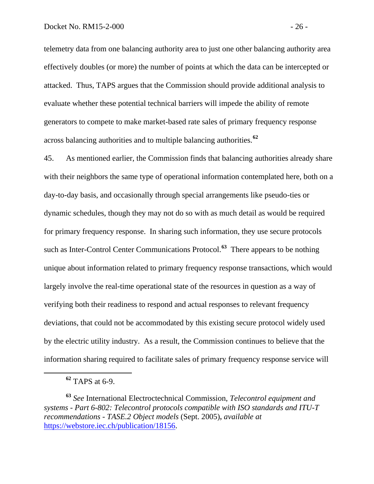telemetry data from one balancing authority area to just one other balancing authority area effectively doubles (or more) the number of points at which the data can be intercepted or attacked. Thus, TAPS argues that the Commission should provide additional analysis to evaluate whether these potential technical barriers will impede the ability of remote generators to compete to make market-based rate sales of primary frequency response across balancing authorities and to multiple balancing authorities.**[62](#page-27-0)**

45. As mentioned earlier, the Commission finds that balancing authorities already share with their neighbors the same type of operational information contemplated here, both on a day-to-day basis, and occasionally through special arrangements like pseudo-ties or dynamic schedules, though they may not do so with as much detail as would be required for primary frequency response. In sharing such information, they use secure protocols such as Inter-Control Center Communications Protocol.**[63](#page-27-1)** There appears to be nothing unique about information related to primary frequency response transactions, which would largely involve the real-time operational state of the resources in question as a way of verifying both their readiness to respond and actual responses to relevant frequency deviations, that could not be accommodated by this existing secure protocol widely used by the electric utility industry. As a result, the Commission continues to believe that the information sharing required to facilitate sales of primary frequency response service will

**<sup>62</sup>** TAPS at 6-9.

<span id="page-27-1"></span><span id="page-27-0"></span>**<sup>63</sup>** *See* International Electroctechnical Commission, *Telecontrol equipment and systems - Part 6-802: Telecontrol protocols compatible with ISO standards and ITU-T recommendations - TASE.2 Object models* (Sept. 2005)**,** *available at* [https://webstore.iec.ch/publication/18156.](https://webstore.iec.ch/publication/18156)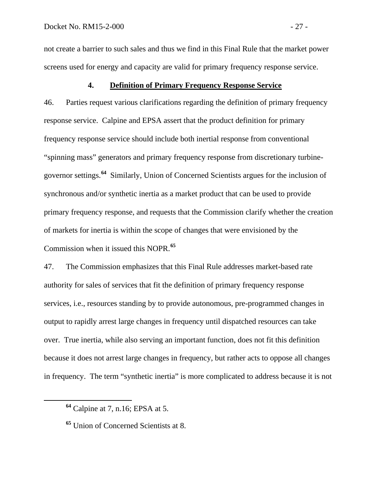not create a barrier to such sales and thus we find in this Final Rule that the market power screens used for energy and capacity are valid for primary frequency response service.

## **4. Definition of Primary Frequency Response Service**

46. Parties request various clarifications regarding the definition of primary frequency response service. Calpine and EPSA assert that the product definition for primary frequency response service should include both inertial response from conventional "spinning mass" generators and primary frequency response from discretionary turbinegovernor settings.**[64](#page-28-0)** Similarly, Union of Concerned Scientists argues for the inclusion of synchronous and/or synthetic inertia as a market product that can be used to provide primary frequency response, and requests that the Commission clarify whether the creation of markets for inertia is within the scope of changes that were envisioned by the Commission when it issued this NOPR.**[65](#page-28-1)**

47. The Commission emphasizes that this Final Rule addresses market-based rate authority for sales of services that fit the definition of primary frequency response services, i.e., resources standing by to provide autonomous, pre-programmed changes in output to rapidly arrest large changes in frequency until dispatched resources can take over. True inertia, while also serving an important function, does not fit this definition because it does not arrest large changes in frequency, but rather acts to oppose all changes in frequency. The term "synthetic inertia" is more complicated to address because it is not

<span id="page-28-0"></span>**<sup>64</sup>** Calpine at 7, n.16; EPSA at 5.

<span id="page-28-1"></span>**<sup>65</sup>** Union of Concerned Scientists at 8.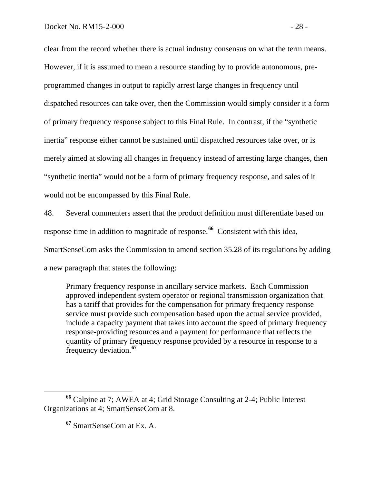clear from the record whether there is actual industry consensus on what the term means. However, if it is assumed to mean a resource standing by to provide autonomous, preprogrammed changes in output to rapidly arrest large changes in frequency until dispatched resources can take over, then the Commission would simply consider it a form of primary frequency response subject to this Final Rule. In contrast, if the "synthetic inertia" response either cannot be sustained until dispatched resources take over, or is merely aimed at slowing all changes in frequency instead of arresting large changes, then "synthetic inertia" would not be a form of primary frequency response, and sales of it would not be encompassed by this Final Rule.

48. Several commenters assert that the product definition must differentiate based on response time in addition to magnitude of response.**[66](#page-29-0)** Consistent with this idea, SmartSenseCom asks the Commission to amend section 35.28 of its regulations by adding a new paragraph that states the following:

Primary frequency response in ancillary service markets. Each Commission approved independent system operator or regional transmission organization that has a tariff that provides for the compensation for primary frequency response service must provide such compensation based upon the actual service provided, include a capacity payment that takes into account the speed of primary frequency response-providing resources and a payment for performance that reflects the quantity of primary frequency response provided by a resource in response to a frequency deviation.**[67](#page-29-1)**

<span id="page-29-1"></span><span id="page-29-0"></span>**<sup>66</sup>** Calpine at 7; AWEA at 4; Grid Storage Consulting at 2-4; Public Interest Organizations at 4; SmartSenseCom at 8.

**<sup>67</sup>** SmartSenseCom at Ex. A.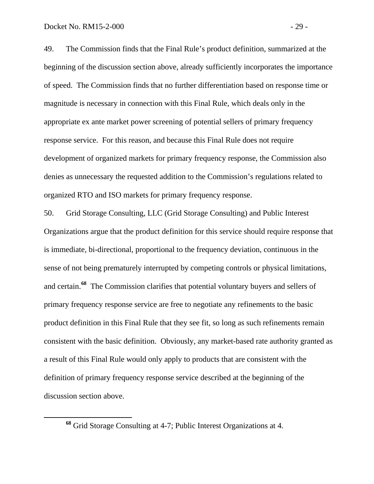49. The Commission finds that the Final Rule's product definition, summarized at the beginning of the discussion section above, already sufficiently incorporates the importance of speed. The Commission finds that no further differentiation based on response time or magnitude is necessary in connection with this Final Rule, which deals only in the appropriate ex ante market power screening of potential sellers of primary frequency response service. For this reason, and because this Final Rule does not require development of organized markets for primary frequency response, the Commission also denies as unnecessary the requested addition to the Commission's regulations related to organized RTO and ISO markets for primary frequency response.

50. Grid Storage Consulting, LLC (Grid Storage Consulting) and Public Interest Organizations argue that the product definition for this service should require response that is immediate, bi-directional, proportional to the frequency deviation, continuous in the sense of not being prematurely interrupted by competing controls or physical limitations, and certain.**[68](#page-30-0)** The Commission clarifies that potential voluntary buyers and sellers of primary frequency response service are free to negotiate any refinements to the basic product definition in this Final Rule that they see fit, so long as such refinements remain consistent with the basic definition. Obviously, any market-based rate authority granted as a result of this Final Rule would only apply to products that are consistent with the definition of primary frequency response service described at the beginning of the discussion section above.

<span id="page-30-0"></span>**<sup>68</sup>** Grid Storage Consulting at 4-7; Public Interest Organizations at 4.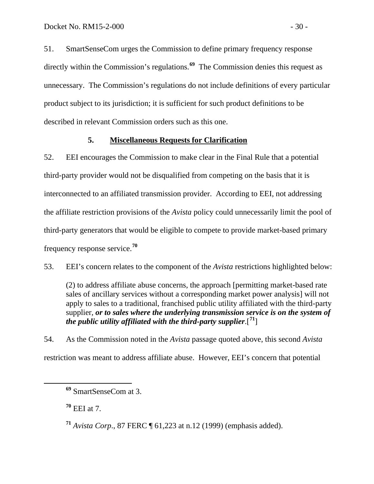51. SmartSenseCom urges the Commission to define primary frequency response directly within the Commission's regulations.**[69](#page-31-0)** The Commission denies this request as unnecessary. The Commission's regulations do not include definitions of every particular product subject to its jurisdiction; it is sufficient for such product definitions to be described in relevant Commission orders such as this one.

## **5. Miscellaneous Requests for Clarification**

52. EEI encourages the Commission to make clear in the Final Rule that a potential third-party provider would not be disqualified from competing on the basis that it is interconnected to an affiliated transmission provider. According to EEI, not addressing the affiliate restriction provisions of the *Avista* policy could unnecessarily limit the pool of third-party generators that would be eligible to compete to provide market-based primary frequency response service.**[70](#page-31-1)**

53. EEI's concern relates to the component of the *Avista* restrictions highlighted below:

(2) to address affiliate abuse concerns, the approach [permitting market-based rate sales of ancillary services without a corresponding market power analysis] will not apply to sales to a traditional, franchised public utility affiliated with the third-party supplier, *or to sales where the underlying transmission service is on the system of the public utility affiliated with the third-party supplier*.[ **[71](#page-31-2)**]

54. As the Commission noted in the *Avista* passage quoted above, this second *Avista* restriction was meant to address affiliate abuse. However, EEI's concern that potential

<span id="page-31-1"></span>**<sup>70</sup>** EEI at 7.

<span id="page-31-2"></span>**<sup>71</sup>** *Avista Corp*., 87 FERC ¶ 61,223 at n.12 (1999) (emphasis added).

<span id="page-31-0"></span>**<sup>69</sup>** SmartSenseCom at 3.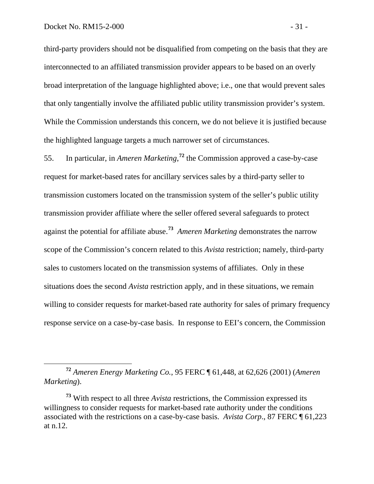third-party providers should not be disqualified from competing on the basis that they are interconnected to an affiliated transmission provider appears to be based on an overly broad interpretation of the language highlighted above; i.e., one that would prevent sales that only tangentially involve the affiliated public utility transmission provider's system. While the Commission understands this concern, we do not believe it is justified because the highlighted language targets a much narrower set of circumstances.

55. In particular, in *Ameren Marketing*,<sup>[72](#page-32-0)</sup> the Commission approved a case-by-case request for market-based rates for ancillary services sales by a third-party seller to transmission customers located on the transmission system of the seller's public utility transmission provider affiliate where the seller offered several safeguards to protect against the potential for affiliate abuse. **[73](#page-32-1)** *Ameren Marketing* demonstrates the narrow scope of the Commission's concern related to this *Avista* restriction; namely, third-party sales to customers located on the transmission systems of affiliates. Only in these situations does the second *Avista* restriction apply, and in these situations, we remain willing to consider requests for market-based rate authority for sales of primary frequency response service on a case-by-case basis. In response to EEI's concern, the Commission

<span id="page-32-0"></span>**<sup>72</sup>** *Ameren Energy Marketing Co.*, 95 FERC ¶ 61,448, at 62,626 (2001) (*Ameren Marketing*).

<span id="page-32-1"></span>**<sup>73</sup>** With respect to all three *Avista* restrictions, the Commission expressed its willingness to consider requests for market-based rate authority under the conditions associated with the restrictions on a case-by-case basis. *Avista Corp*., 87 FERC ¶ 61,223 at n.12.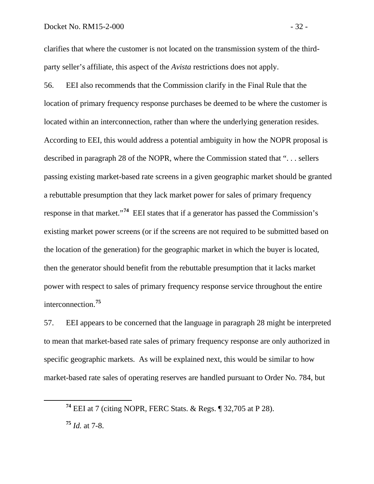clarifies that where the customer is not located on the transmission system of the thirdparty seller's affiliate, this aspect of the *Avista* restrictions does not apply.

56. EEI also recommends that the Commission clarify in the Final Rule that the location of primary frequency response purchases be deemed to be where the customer is located within an interconnection, rather than where the underlying generation resides. According to EEI, this would address a potential ambiguity in how the NOPR proposal is described in paragraph 28 of the NOPR, where the Commission stated that ". . . sellers passing existing market-based rate screens in a given geographic market should be granted a rebuttable presumption that they lack market power for sales of primary frequency response in that market."**[74](#page-33-0)** EEI states that if a generator has passed the Commission's existing market power screens (or if the screens are not required to be submitted based on the location of the generation) for the geographic market in which the buyer is located, then the generator should benefit from the rebuttable presumption that it lacks market power with respect to sales of primary frequency response service throughout the entire interconnection.**[75](#page-33-1)**

57. EEI appears to be concerned that the language in paragraph 28 might be interpreted to mean that market-based rate sales of primary frequency response are only authorized in specific geographic markets. As will be explained next, this would be similar to how market-based rate sales of operating reserves are handled pursuant to Order No. 784, but

<span id="page-33-0"></span>**<sup>74</sup>** EEI at 7 (citing NOPR, FERC Stats. & Regs. ¶ 32,705 at P 28).

<span id="page-33-1"></span>**<sup>75</sup>** *Id.* at 7-8.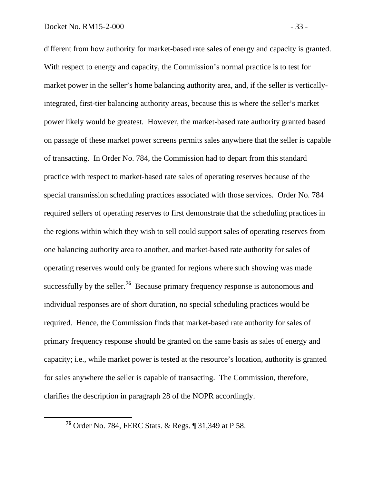different from how authority for market-based rate sales of energy and capacity is granted. With respect to energy and capacity, the Commission's normal practice is to test for market power in the seller's home balancing authority area, and, if the seller is verticallyintegrated, first-tier balancing authority areas, because this is where the seller's market power likely would be greatest. However, the market-based rate authority granted based on passage of these market power screens permits sales anywhere that the seller is capable of transacting. In Order No. 784, the Commission had to depart from this standard practice with respect to market-based rate sales of operating reserves because of the special transmission scheduling practices associated with those services. Order No. 784 required sellers of operating reserves to first demonstrate that the scheduling practices in the regions within which they wish to sell could support sales of operating reserves from one balancing authority area to another, and market-based rate authority for sales of operating reserves would only be granted for regions where such showing was made successfully by the seller.**[76](#page-34-0)** Because primary frequency response is autonomous and individual responses are of short duration, no special scheduling practices would be required. Hence, the Commission finds that market-based rate authority for sales of primary frequency response should be granted on the same basis as sales of energy and capacity; i.e., while market power is tested at the resource's location, authority is granted for sales anywhere the seller is capable of transacting. The Commission, therefore, clarifies the description in paragraph 28 of the NOPR accordingly.

<span id="page-34-0"></span>**<sup>76</sup>** Order No. 784, FERC Stats. & Regs. ¶ 31,349 at P 58.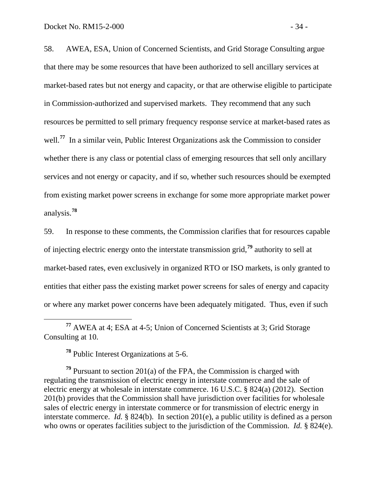58. AWEA, ESA, Union of Concerned Scientists, and Grid Storage Consulting argue that there may be some resources that have been authorized to sell ancillary services at market-based rates but not energy and capacity, or that are otherwise eligible to participate in Commission-authorized and supervised markets. They recommend that any such resources be permitted to sell primary frequency response service at market-based rates as well.<sup>[77](#page-35-0)</sup> In a similar vein, Public Interest Organizations ask the Commission to consider whether there is any class or potential class of emerging resources that sell only ancillary services and not energy or capacity, and if so, whether such resources should be exempted from existing market power screens in exchange for some more appropriate market power analysis.**[78](#page-35-1)**

59. In response to these comments, the Commission clarifies that for resources capable of injecting electric energy onto the interstate transmission grid,**[79](#page-35-2)** authority to sell at market-based rates, even exclusively in organized RTO or ISO markets, is only granted to entities that either pass the existing market power screens for sales of energy and capacity or where any market power concerns have been adequately mitigated. Thus, even if such

<span id="page-35-0"></span> **<sup>77</sup>** AWEA at 4; ESA at 4-5; Union of Concerned Scientists at 3; Grid Storage Consulting at 10.

**<sup>78</sup>** Public Interest Organizations at 5-6.

<span id="page-35-2"></span><span id="page-35-1"></span>**<sup>79</sup>** Pursuant to section 201(a) of the FPA, the Commission is charged with regulating the transmission of electric energy in interstate commerce and the sale of electric energy at wholesale in interstate commerce. 16 U.S.C. § 824(a) (2012). Section 201(b) provides that the Commission shall have jurisdiction over facilities for wholesale sales of electric energy in interstate commerce or for transmission of electric energy in interstate commerce. *Id.* § 824(b). In section 201(e), a public utility is defined as a person who owns or operates facilities subject to the jurisdiction of the Commission. *Id.* § 824(e).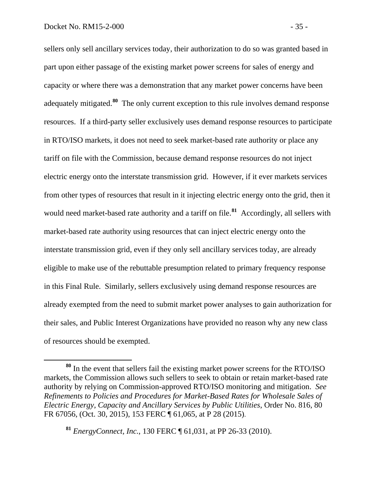sellers only sell ancillary services today, their authorization to do so was granted based in part upon either passage of the existing market power screens for sales of energy and capacity or where there was a demonstration that any market power concerns have been adequately mitigated. **[80](#page-36-0)** The only current exception to this rule involves demand response resources. If a third-party seller exclusively uses demand response resources to participate in RTO/ISO markets, it does not need to seek market-based rate authority or place any tariff on file with the Commission, because demand response resources do not inject electric energy onto the interstate transmission grid. However, if it ever markets services from other types of resources that result in it injecting electric energy onto the grid, then it would need market-based rate authority and a tariff on file.<sup>[81](#page-36-1)</sup> Accordingly, all sellers with market-based rate authority using resources that can inject electric energy onto the interstate transmission grid, even if they only sell ancillary services today, are already eligible to make use of the rebuttable presumption related to primary frequency response in this Final Rule. Similarly, sellers exclusively using demand response resources are already exempted from the need to submit market power analyses to gain authorization for their sales, and Public Interest Organizations have provided no reason why any new class of resources should be exempted.

<span id="page-36-0"></span>**<sup>80</sup>** In the event that sellers fail the existing market power screens for the RTO/ISO markets, the Commission allows such sellers to seek to obtain or retain market-based rate authority by relying on Commission-approved RTO/ISO monitoring and mitigation. *See Refinements to Policies and Procedures for Market-Based Rates for Wholesale Sales of Electric Energy, Capacity and Ancillary Services by Public Utilities*, Order No. 816, 80 FR 67056, (Oct. 30, 2015), 153 FERC ¶ 61,065, at P 28 (2015).

<span id="page-36-1"></span>**<sup>81</sup>** *EnergyConnect, Inc.*, 130 FERC ¶ 61,031, at PP 26-33 (2010).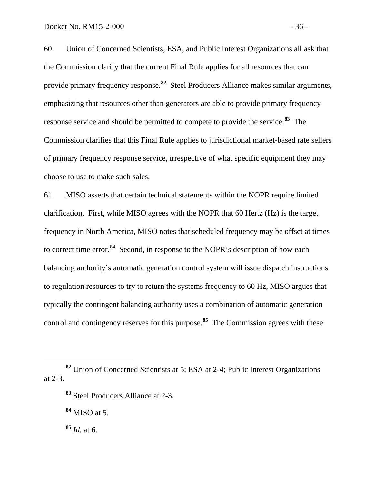60. Union of Concerned Scientists, ESA, and Public Interest Organizations all ask that the Commission clarify that the current Final Rule applies for all resources that can provide primary frequency response.**[82](#page-37-0)** Steel Producers Alliance makes similar arguments, emphasizing that resources other than generators are able to provide primary frequency response service and should be permitted to compete to provide the service.**[83](#page-37-1)** The Commission clarifies that this Final Rule applies to jurisdictional market-based rate sellers of primary frequency response service, irrespective of what specific equipment they may choose to use to make such sales.

61. MISO asserts that certain technical statements within the NOPR require limited clarification. First, while MISO agrees with the NOPR that 60 Hertz (Hz) is the target frequency in North America, MISO notes that scheduled frequency may be offset at times to correct time error.**[84](#page-37-2)** Second, in response to the NOPR's description of how each balancing authority's automatic generation control system will issue dispatch instructions to regulation resources to try to return the systems frequency to 60 Hz, MISO argues that typically the contingent balancing authority uses a combination of automatic generation control and contingency reserves for this purpose.**[85](#page-37-3)** The Commission agrees with these

<span id="page-37-3"></span>**<sup>85</sup>** *Id.* at 6.

<span id="page-37-2"></span><span id="page-37-1"></span><span id="page-37-0"></span>**<sup>82</sup>** Union of Concerned Scientists at 5; ESA at 2-4; Public Interest Organizations at 2-3.

**<sup>83</sup>** Steel Producers Alliance at 2-3.

**<sup>84</sup>** MISO at 5.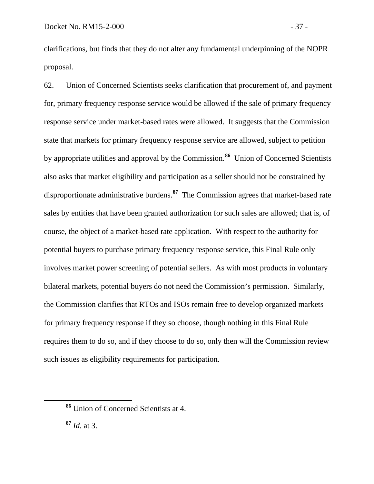clarifications, but finds that they do not alter any fundamental underpinning of the NOPR proposal.

62. Union of Concerned Scientists seeks clarification that procurement of, and payment for, primary frequency response service would be allowed if the sale of primary frequency response service under market-based rates were allowed. It suggests that the Commission state that markets for primary frequency response service are allowed, subject to petition by appropriate utilities and approval by the Commission.**[86](#page-38-0)** Union of Concerned Scientists also asks that market eligibility and participation as a seller should not be constrained by disproportionate administrative burdens.**[87](#page-38-1)** The Commission agrees that market-based rate sales by entities that have been granted authorization for such sales are allowed; that is, of course, the object of a market-based rate application. With respect to the authority for potential buyers to purchase primary frequency response service, this Final Rule only involves market power screening of potential sellers. As with most products in voluntary bilateral markets, potential buyers do not need the Commission's permission. Similarly, the Commission clarifies that RTOs and ISOs remain free to develop organized markets for primary frequency response if they so choose, though nothing in this Final Rule requires them to do so, and if they choose to do so, only then will the Commission review such issues as eligibility requirements for participation.

<span id="page-38-1"></span>**<sup>87</sup>** *Id.* at 3.

<span id="page-38-0"></span>**<sup>86</sup>** Union of Concerned Scientists at 4.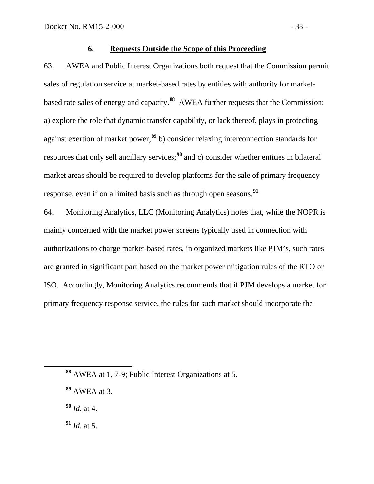## **6. Requests Outside the Scope of this Proceeding**

63. AWEA and Public Interest Organizations both request that the Commission permit sales of regulation service at market-based rates by entities with authority for marketbased rate sales of energy and capacity.**[88](#page-39-0)** AWEA further requests that the Commission: a) explore the role that dynamic transfer capability, or lack thereof, plays in protecting against exertion of market power;**[89](#page-39-1)** b) consider relaxing interconnection standards for resources that only sell ancillary services;<sup>[90](#page-39-2)</sup> and c) consider whether entities in bilateral market areas should be required to develop platforms for the sale of primary frequency response, even if on a limited basis such as through open seasons.**[91](#page-39-3)**

64. Monitoring Analytics, LLC (Monitoring Analytics) notes that, while the NOPR is mainly concerned with the market power screens typically used in connection with authorizations to charge market-based rates, in organized markets like PJM's, such rates are granted in significant part based on the market power mitigation rules of the RTO or ISO. Accordingly, Monitoring Analytics recommends that if PJM develops a market for primary frequency response service, the rules for such market should incorporate the

<span id="page-39-3"></span>**<sup>91</sup>** *Id*. at 5.

<span id="page-39-0"></span>**<sup>88</sup>** AWEA at 1, 7-9; Public Interest Organizations at 5.

<span id="page-39-1"></span>**<sup>89</sup>** AWEA at 3.

<span id="page-39-2"></span>**<sup>90</sup>** *Id*. at 4.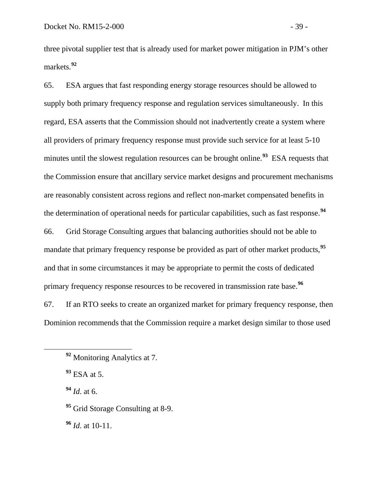three pivotal supplier test that is already used for market power mitigation in PJM's other markets.**[92](#page-40-0)**

65. ESA argues that fast responding energy storage resources should be allowed to supply both primary frequency response and regulation services simultaneously. In this regard, ESA asserts that the Commission should not inadvertently create a system where all providers of primary frequency response must provide such service for at least 5-10 minutes until the slowest regulation resources can be brought online.<sup>[93](#page-40-1)</sup> ESA requests that the Commission ensure that ancillary service market designs and procurement mechanisms are reasonably consistent across regions and reflect non-market compensated benefits in the determination of operational needs for particular capabilities, such as fast response.**[94](#page-40-2)** 66. Grid Storage Consulting argues that balancing authorities should not be able to mandate that primary frequency response be provided as part of other market products, <sup>[95](#page-40-3)</sup>

and that in some circumstances it may be appropriate to permit the costs of dedicated primary frequency response resources to be recovered in transmission rate base.**[96](#page-40-4)**

67. If an RTO seeks to create an organized market for primary frequency response, then Dominion recommends that the Commission require a market design similar to those used

<span id="page-40-2"></span>**<sup>94</sup>** *Id*. at 6.

<span id="page-40-3"></span><sup>95</sup> Grid Storage Consulting at 8-9.

<span id="page-40-4"></span>**<sup>96</sup>** *Id*. at 10-11.

<span id="page-40-0"></span>**<sup>92</sup>** Monitoring Analytics at 7.

<span id="page-40-1"></span>**<sup>93</sup>** ESA at 5.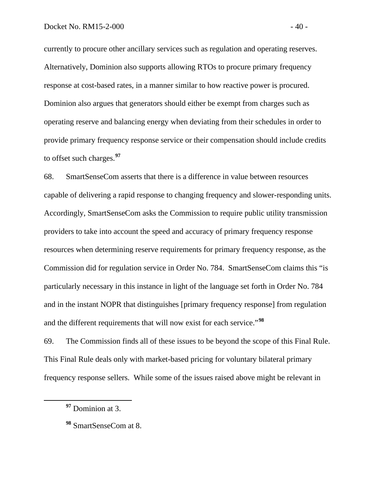currently to procure other ancillary services such as regulation and operating reserves. Alternatively, Dominion also supports allowing RTOs to procure primary frequency response at cost-based rates, in a manner similar to how reactive power is procured. Dominion also argues that generators should either be exempt from charges such as operating reserve and balancing energy when deviating from their schedules in order to provide primary frequency response service or their compensation should include credits to offset such charges.**[97](#page-41-0)**

68. SmartSenseCom asserts that there is a difference in value between resources capable of delivering a rapid response to changing frequency and slower-responding units. Accordingly, SmartSenseCom asks the Commission to require public utility transmission providers to take into account the speed and accuracy of primary frequency response resources when determining reserve requirements for primary frequency response, as the Commission did for regulation service in Order No. 784. SmartSenseCom claims this "is particularly necessary in this instance in light of the language set forth in Order No. 784 and in the instant NOPR that distinguishes [primary frequency response] from regulation and the different requirements that will now exist for each service."**[98](#page-41-1)**

69. The Commission finds all of these issues to be beyond the scope of this Final Rule. This Final Rule deals only with market-based pricing for voluntary bilateral primary frequency response sellers. While some of the issues raised above might be relevant in

<span id="page-41-0"></span>**<sup>97</sup>** Dominion at 3.

<span id="page-41-1"></span>**<sup>98</sup>** SmartSenseCom at 8.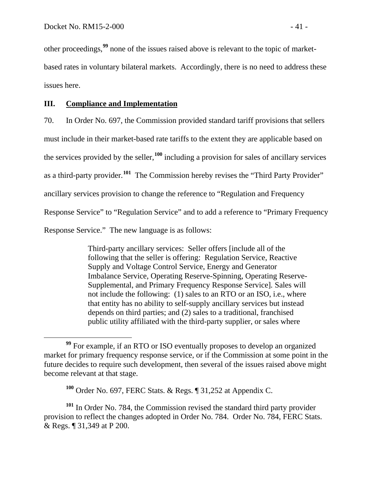other proceedings,**[99](#page-42-0)** none of the issues raised above is relevant to the topic of marketbased rates in voluntary bilateral markets. Accordingly, there is no need to address these issues here.

## **III. Compliance and Implementation**

70. In Order No. 697, the Commission provided standard tariff provisions that sellers

must include in their market-based rate tariffs to the extent they are applicable based on

the services provided by the seller,**[100](#page-42-1)** including a provision for sales of ancillary services

as a third-party provider.**[101](#page-42-2)** The Commission hereby revises the "Third Party Provider"

ancillary services provision to change the reference to "Regulation and Frequency

Response Service" to "Regulation Service" and to add a reference to "Primary Frequency

Response Service." The new language is as follows:

Third-party ancillary services: Seller offers [include all of the following that the seller is offering: Regulation Service, Reactive Supply and Voltage Control Service, Energy and Generator Imbalance Service, Operating Reserve-Spinning, Operating Reserve-Supplemental, and Primary Frequency Response Service]*.* Sales will not include the following: (1) sales to an RTO or an ISO, i.e., where that entity has no ability to self-supply ancillary services but instead depends on third parties; and (2) sales to a traditional, franchised public utility affiliated with the third-party supplier, or sales where

<span id="page-42-0"></span>**<sup>99</sup>** For example, if an RTO or ISO eventually proposes to develop an organized market for primary frequency response service, or if the Commission at some point in the future decides to require such development, then several of the issues raised above might become relevant at that stage.

**<sup>100</sup>** Order No. 697, FERC Stats. & Regs. ¶ 31,252 at Appendix C.

<span id="page-42-2"></span><span id="page-42-1"></span>**<sup>101</sup>** In Order No. 784, the Commission revised the standard third party provider provision to reflect the changes adopted in Order No. 784. Order No. 784, FERC Stats. & Regs. ¶ 31,349 at P 200.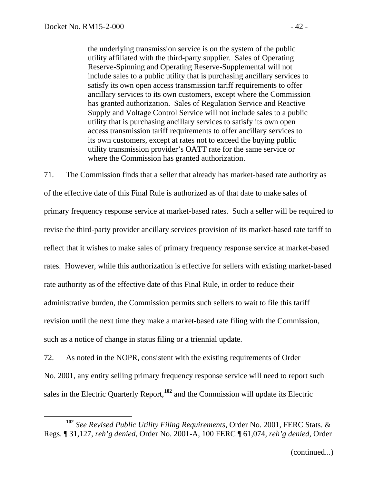the underlying transmission service is on the system of the public utility affiliated with the third-party supplier. Sales of Operating Reserve-Spinning and Operating Reserve-Supplemental will not include sales to a public utility that is purchasing ancillary services to satisfy its own open access transmission tariff requirements to offer ancillary services to its own customers, except where the Commission has granted authorization. Sales of Regulation Service and Reactive Supply and Voltage Control Service will not include sales to a public utility that is purchasing ancillary services to satisfy its own open access transmission tariff requirements to offer ancillary services to its own customers, except at rates not to exceed the buying public utility transmission provider's OATT rate for the same service or where the Commission has granted authorization.

71. The Commission finds that a seller that already has market-based rate authority as of the effective date of this Final Rule is authorized as of that date to make sales of primary frequency response service at market-based rates. Such a seller will be required to revise the third-party provider ancillary services provision of its market-based rate tariff to reflect that it wishes to make sales of primary frequency response service at market-based rates. However, while this authorization is effective for sellers with existing market-based rate authority as of the effective date of this Final Rule, in order to reduce their administrative burden, the Commission permits such sellers to wait to file this tariff revision until the next time they make a market-based rate filing with the Commission, such as a notice of change in status filing or a triennial update.

72. As noted in the NOPR, consistent with the existing requirements of Order No. 2001, any entity selling primary frequency response service will need to report such sales in the Electric Quarterly Report,**[102](#page-43-0)** and the Commission will update its Electric

<span id="page-43-0"></span>**<sup>102</sup>** *See Revised Public Utility Filing Requirements*, Order No. 2001, FERC Stats. & Regs. ¶ 31,127, *reh'g denied*, Order No. 2001-A, 100 FERC ¶ 61,074, *reh'g denied*, Order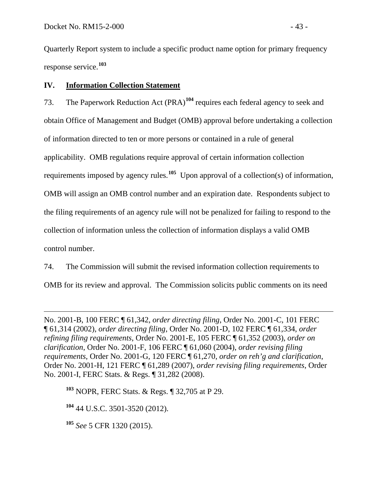Quarterly Report system to include a specific product name option for primary frequency response service.**[103](#page-44-0)**

# **IV. Information Collection Statement**

73. The Paperwork Reduction Act (PRA)<sup>[104](#page-44-1)</sup> requires each federal agency to seek and obtain Office of Management and Budget (OMB) approval before undertaking a collection of information directed to ten or more persons or contained in a rule of general applicability. OMB regulations require approval of certain information collection requirements imposed by agency rules.**[105](#page-44-2)** Upon approval of a collection(s) of information, OMB will assign an OMB control number and an expiration date. Respondents subject to the filing requirements of an agency rule will not be penalized for failing to respond to the collection of information unless the collection of information displays a valid OMB control number.

74. The Commission will submit the revised information collection requirements to OMB for its review and approval. The Commission solicits public comments on its need

No. 2001-B, 100 FERC ¶ 61,342, *order directing filing*, Order No. 2001-C, 101 FERC ¶ 61,314 (2002), *order directing filing*, Order No. 2001-D, 102 FERC ¶ 61,334, *order refining filing requirements*, Order No. 2001-E, 105 FERC ¶ 61,352 (2003), *order on clarification*, Order No. 2001-F, 106 FERC ¶ 61,060 (2004), *order revising filing requirements*, Order No. 2001-G, 120 FERC ¶ 61,270, *order on reh'g and clarification*, Order No. 2001-H, 121 FERC ¶ 61,289 (2007), *order revising filing requirements*, Order No. 2001-I, FERC Stats. & Regs. ¶ 31,282 (2008).

<span id="page-44-0"></span>**<sup>103</sup>** NOPR, FERC Stats. & Regs. ¶ 32,705 at P 29.

<span id="page-44-1"></span>**<sup>104</sup>** 44 U.S.C. 3501-3520 (2012).

<span id="page-44-2"></span>**<sup>105</sup>** *See* 5 CFR 1320 (2015).

 $\overline{a}$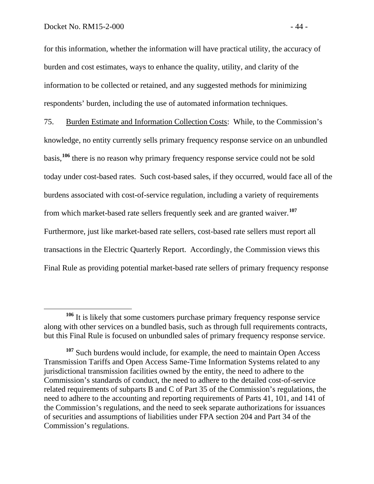for this information, whether the information will have practical utility, the accuracy of burden and cost estimates, ways to enhance the quality, utility, and clarity of the information to be collected or retained, and any suggested methods for minimizing respondents' burden, including the use of automated information techniques.

75. Burden Estimate and Information Collection Costs: While, to the Commission's knowledge, no entity currently sells primary frequency response service on an unbundled basis,**[106](#page-45-0)** there is no reason why primary frequency response service could not be sold today under cost-based rates. Such cost-based sales, if they occurred, would face all of the burdens associated with cost-of-service regulation, including a variety of requirements from which market-based rate sellers frequently seek and are granted waiver.**[107](#page-45-1)** Furthermore, just like market-based rate sellers, cost-based rate sellers must report all transactions in the Electric Quarterly Report. Accordingly, the Commission views this Final Rule as providing potential market-based rate sellers of primary frequency response

<span id="page-45-0"></span>**<sup>106</sup>** It is likely that some customers purchase primary frequency response service along with other services on a bundled basis, such as through full requirements contracts, but this Final Rule is focused on unbundled sales of primary frequency response service.

<span id="page-45-1"></span><sup>&</sup>lt;sup>107</sup> Such burdens would include, for example, the need to maintain Open Access Transmission Tariffs and Open Access Same-Time Information Systems related to any jurisdictional transmission facilities owned by the entity, the need to adhere to the Commission's standards of conduct, the need to adhere to the detailed cost-of-service related requirements of subparts B and C of Part 35 of the Commission's regulations, the need to adhere to the accounting and reporting requirements of Parts 41, 101, and 141 of the Commission's regulations, and the need to seek separate authorizations for issuances of securities and assumptions of liabilities under FPA section 204 and Part 34 of the Commission's regulations.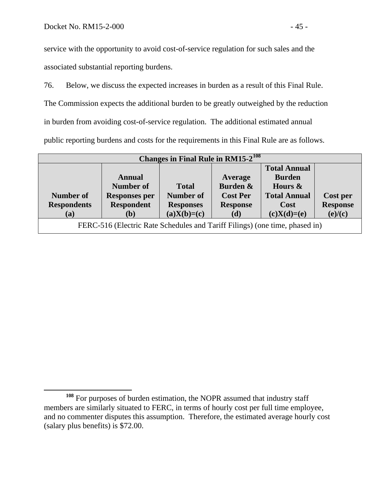service with the opportunity to avoid cost-of-service regulation for such sales and the associated substantial reporting burdens.

76. Below, we discuss the expected increases in burden as a result of this Final Rule.

The Commission expects the additional burden to be greatly outweighed by the reduction

in burden from avoiding cost-of-service regulation. The additional estimated annual

public reporting burdens and costs for the requirements in this Final Rule are as follows.

| Changes in Final Rule in $RM15-2^{108}$                                     |                      |                  |                 |                     |                 |  |  |  |
|-----------------------------------------------------------------------------|----------------------|------------------|-----------------|---------------------|-----------------|--|--|--|
|                                                                             |                      |                  |                 | <b>Total Annual</b> |                 |  |  |  |
|                                                                             | <b>Annual</b>        |                  | <b>Average</b>  | <b>Burden</b>       |                 |  |  |  |
|                                                                             | Number of            | <b>Total</b>     | Burden &        | Hours $\&$          |                 |  |  |  |
| Number of                                                                   | <b>Responses per</b> | Number of        | <b>Cost Per</b> | <b>Total Annual</b> | Cost per        |  |  |  |
| <b>Respondents</b>                                                          | <b>Respondent</b>    | <b>Responses</b> | <b>Response</b> | Cost                | <b>Response</b> |  |  |  |
| (a)                                                                         | <b>(b)</b>           | $(a)X(b)=(c)$    | (d)             | $(c)X(d)=(e)$       | (e)/(c)         |  |  |  |
| FERC-516 (Electric Rate Schedules and Tariff Filings) (one time, phased in) |                      |                  |                 |                     |                 |  |  |  |

<span id="page-46-0"></span>**<sup>108</sup>** For purposes of burden estimation, the NOPR assumed that industry staff members are similarly situated to FERC, in terms of hourly cost per full time employee, and no commenter disputes this assumption. Therefore, the estimated average hourly cost (salary plus benefits) is \$72.00.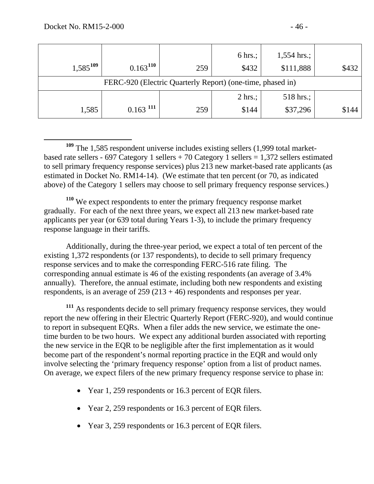| $1,585^{109}$                                              | $0.163^{110}$          | 259 | 6 hrs.;<br>\$432  | $1,554$ hrs.;<br>\$111,888 | \$432 |  |  |  |
|------------------------------------------------------------|------------------------|-----|-------------------|----------------------------|-------|--|--|--|
| FERC-920 (Electric Quarterly Report) (one-time, phased in) |                        |     |                   |                            |       |  |  |  |
|                                                            |                        |     | $2 \text{ hrs.};$ | 518 hrs.;                  |       |  |  |  |
| 1,585                                                      | $0.163$ <sup>111</sup> | 259 | \$144             | \$37,296                   | \$144 |  |  |  |

<span id="page-47-0"></span> **<sup>109</sup>** The 1,585 respondent universe includes existing sellers (1,999 total marketbased rate sellers - 697 Category 1 sellers + 70 Category 1 sellers = 1,372 sellers estimated to sell primary frequency response services) plus 213 new market-based rate applicants (as estimated in Docket No. RM14-14). (We estimate that ten percent (or 70, as indicated above) of the Category 1 sellers may choose to sell primary frequency response services.)

<span id="page-47-1"></span>**<sup>110</sup>** We expect respondents to enter the primary frequency response market gradually. For each of the next three years, we expect all 213 new market-based rate applicants per year (or 639 total during Years 1-3), to include the primary frequency response language in their tariffs.

Additionally, during the three-year period, we expect a total of ten percent of the existing 1,372 respondents (or 137 respondents), to decide to sell primary frequency response services and to make the corresponding FERC-516 rate filing. The corresponding annual estimate is 46 of the existing respondents (an average of 3.4% annually). Therefore, the annual estimate, including both new respondents and existing respondents, is an average of  $259 (213 + 46)$  respondents and responses per year.

<span id="page-47-2"></span>**<sup>111</sup>** As respondents decide to sell primary frequency response services, they would report the new offering in their Electric Quarterly Report (FERC-920), and would continue to report in subsequent EQRs. When a filer adds the new service, we estimate the onetime burden to be two hours. We expect any additional burden associated with reporting the new service in the EQR to be negligible after the first implementation as it would become part of the respondent's normal reporting practice in the EQR and would only involve selecting the 'primary frequency response' option from a list of product names. On average, we expect filers of the new primary frequency response service to phase in:

- Year 1, 259 respondents or 16.3 percent of EQR filers.
- Year 2, 259 respondents or 16.3 percent of EQR filers.
- Year 3, 259 respondents or 16.3 percent of EQR filers.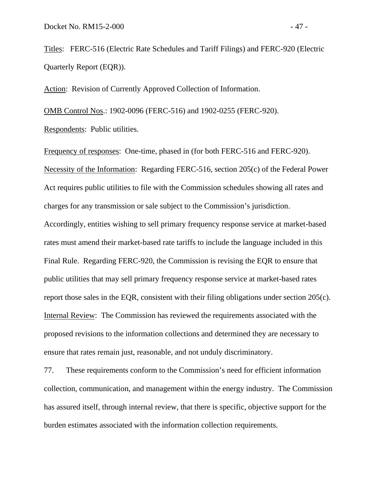Titles: FERC-516 (Electric Rate Schedules and Tariff Filings) and FERC-920 (Electric Quarterly Report (EQR)).

Action: Revision of Currently Approved Collection of Information.

OMB Control Nos.: 1902-0096 (FERC-516) and 1902-0255 (FERC-920). Respondents: Public utilities.

Frequency of responses: One-time, phased in (for both FERC-516 and FERC-920). Necessity of the Information: Regarding FERC-516, section 205(c) of the Federal Power Act requires public utilities to file with the Commission schedules showing all rates and charges for any transmission or sale subject to the Commission's jurisdiction. Accordingly, entities wishing to sell primary frequency response service at market-based rates must amend their market-based rate tariffs to include the language included in this Final Rule. Regarding FERC-920, the Commission is revising the EQR to ensure that public utilities that may sell primary frequency response service at market-based rates report those sales in the EQR, consistent with their filing obligations under section 205(c). Internal Review: The Commission has reviewed the requirements associated with the proposed revisions to the information collections and determined they are necessary to ensure that rates remain just, reasonable, and not unduly discriminatory.

77. These requirements conform to the Commission's need for efficient information collection, communication, and management within the energy industry. The Commission has assured itself, through internal review, that there is specific, objective support for the burden estimates associated with the information collection requirements.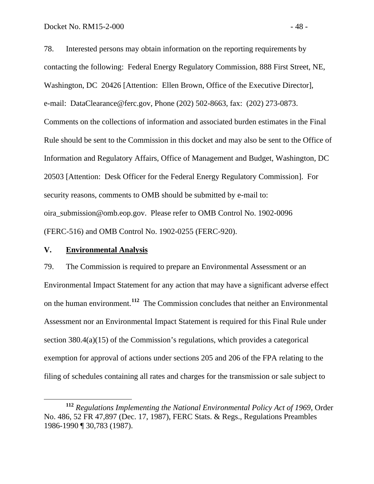78. Interested persons may obtain information on the reporting requirements by contacting the following: Federal Energy Regulatory Commission, 888 First Street, NE, Washington, DC 20426 [Attention: Ellen Brown, Office of the Executive Director], e-mail: DataClearance@ferc.gov, Phone (202) 502-8663, fax: (202) 273-0873. Comments on the collections of information and associated burden estimates in the Final Rule should be sent to the Commission in this docket and may also be sent to the Office of Information and Regulatory Affairs, Office of Management and Budget, Washington, DC 20503 [Attention: Desk Officer for the Federal Energy Regulatory Commission]. For security reasons, comments to OMB should be submitted by e-mail to: oira\_submission@omb.eop.gov. Please refer to OMB Control No. 1902-0096 (FERC-516) and OMB Control No. 1902-0255 (FERC-920).

### **V. Environmental Analysis**

79. The Commission is required to prepare an Environmental Assessment or an Environmental Impact Statement for any action that may have a significant adverse effect on the human environment.**[112](#page-49-0)** The Commission concludes that neither an Environmental Assessment nor an Environmental Impact Statement is required for this Final Rule under section 380.4(a)(15) of the Commission's regulations, which provides a categorical exemption for approval of actions under sections 205 and 206 of the FPA relating to the filing of schedules containing all rates and charges for the transmission or sale subject to

<span id="page-49-0"></span>**<sup>112</sup>** *Regulations Implementing the National Environmental Policy Act of 1969*, Order No. 486, 52 FR 47,897 (Dec. 17, 1987), FERC Stats. & Regs., Regulations Preambles 1986-1990 ¶ 30,783 (1987).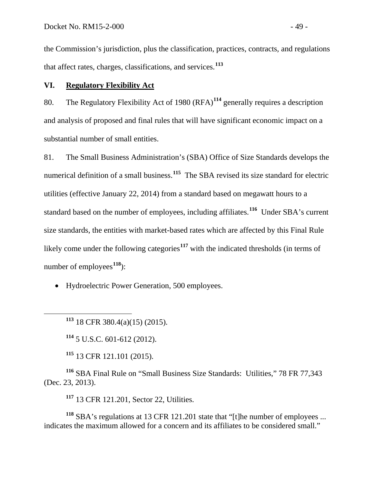the Commission's jurisdiction, plus the classification, practices, contracts, and regulations that affect rates, charges, classifications, and services.**[113](#page-50-0)**

# **VI. Regulatory Flexibility Act**

80. The Regulatory Flexibility Act of 1980  $(RFA)^{114}$  $(RFA)^{114}$  $(RFA)^{114}$  generally requires a description and analysis of proposed and final rules that will have significant economic impact on a substantial number of small entities.

81. The Small Business Administration's (SBA) Office of Size Standards develops the numerical definition of a small business.<sup>[115](#page-50-2)</sup> The SBA revised its size standard for electric utilities (effective January 22, 2014) from a standard based on megawatt hours to a standard based on the number of employees, including affiliates.**[116](#page-50-3)** Under SBA's current size standards, the entities with market-based rates which are affected by this Final Rule likely come under the following categories<sup>[117](#page-50-4)</sup> with the indicated thresholds (in terms of number of employees<sup>[118](#page-50-5)</sup>):

• Hydroelectric Power Generation, 500 employees.

<span id="page-50-0"></span>**<sup>113</sup>** 18 CFR 380.4(a)(15) (2015).

**<sup>114</sup>** 5 U.S.C. 601-612 (2012).

**<sup>115</sup>** 13 CFR 121.101 (2015).

<span id="page-50-3"></span><span id="page-50-2"></span><span id="page-50-1"></span>**<sup>116</sup>** SBA Final Rule on "Small Business Size Standards: Utilities," 78 FR 77,343 (Dec. 23, 2013).

**<sup>117</sup>** 13 CFR 121.201, Sector 22, Utilities.

<span id="page-50-5"></span><span id="page-50-4"></span>**<sup>118</sup>** SBA's regulations at 13 CFR 121.201 state that "[t]he number of employees ... indicates the maximum allowed for a concern and its affiliates to be considered small."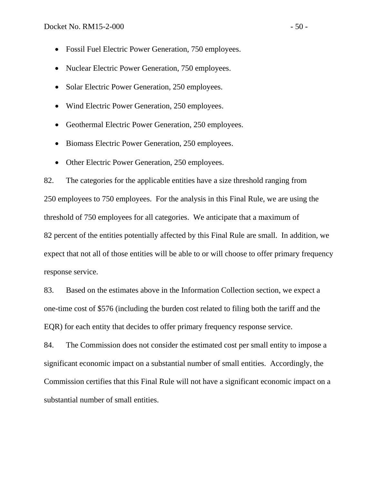- Fossil Fuel Electric Power Generation, 750 employees.
- Nuclear Electric Power Generation, 750 employees.
- Solar Electric Power Generation, 250 employees.
- Wind Electric Power Generation, 250 employees.
- Geothermal Electric Power Generation, 250 employees.
- Biomass Electric Power Generation, 250 employees.
- Other Electric Power Generation, 250 employees.

82. The categories for the applicable entities have a size threshold ranging from 250 employees to 750 employees. For the analysis in this Final Rule, we are using the threshold of 750 employees for all categories. We anticipate that a maximum of 82 percent of the entities potentially affected by this Final Rule are small. In addition, we expect that not all of those entities will be able to or will choose to offer primary frequency response service.

83. Based on the estimates above in the Information Collection section, we expect a one-time cost of \$576 (including the burden cost related to filing both the tariff and the EQR) for each entity that decides to offer primary frequency response service.

84. The Commission does not consider the estimated cost per small entity to impose a significant economic impact on a substantial number of small entities. Accordingly, the Commission certifies that this Final Rule will not have a significant economic impact on a substantial number of small entities.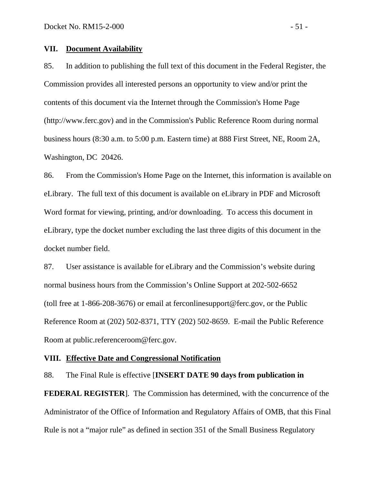#### **VII. Document Availability**

85. In addition to publishing the full text of this document in the Federal Register, the Commission provides all interested persons an opportunity to view and/or print the contents of this document via the Internet through the Commission's Home Page (http://www.ferc.gov) and in the Commission's Public Reference Room during normal business hours (8:30 a.m. to 5:00 p.m. Eastern time) at 888 First Street, NE, Room 2A, Washington, DC 20426.

86. From the Commission's Home Page on the Internet, this information is available on eLibrary. The full text of this document is available on eLibrary in PDF and Microsoft Word format for viewing, printing, and/or downloading. To access this document in eLibrary, type the docket number excluding the last three digits of this document in the docket number field.

87. User assistance is available for eLibrary and the Commission's website during normal business hours from the Commission's Online Support at 202-502-6652 (toll free at 1-866-208-3676) or email at ferconlinesupport@ferc.gov, or the Public Reference Room at (202) 502-8371, TTY (202) 502-8659. E-mail the Public Reference Room at public.referenceroom@ferc.gov.

#### **VIII. Effective Date and Congressional Notification**

88. The Final Rule is effective [**INSERT DATE 90 days from publication in** 

**FEDERAL REGISTER**]. The Commission has determined, with the concurrence of the Administrator of the Office of Information and Regulatory Affairs of OMB, that this Final Rule is not a "major rule" as defined in section 351 of the Small Business Regulatory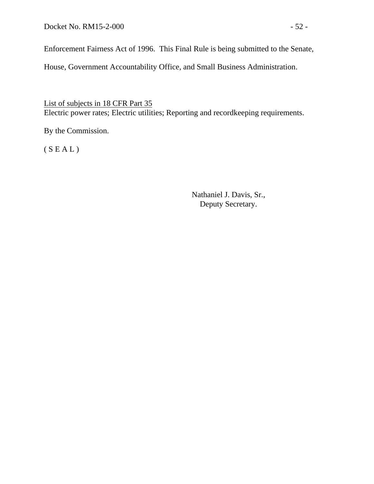Docket No. RM15-2-000 - 52 -

Enforcement Fairness Act of 1996. This Final Rule is being submitted to the Senate,

House, Government Accountability Office, and Small Business Administration.

List of subjects in 18 CFR Part 35 Electric power rates; Electric utilities; Reporting and recordkeeping requirements.

By the Commission.

 $(S E A L)$ 

Nathaniel J. Davis, Sr., Deputy Secretary.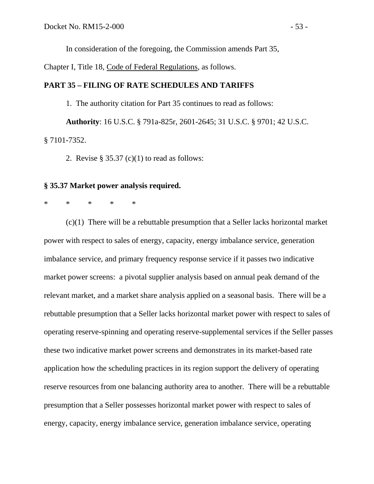In consideration of the foregoing, the Commission amends Part 35,

Chapter I, Title 18, Code of Federal Regulations, as follows.

#### **PART 35 – FILING OF RATE SCHEDULES AND TARIFFS**

1. The authority citation for Part 35 continues to read as follows: **Authority**: 16 U.S.C. § 791a-825r, 2601-2645; 31 U.S.C. § 9701; 42 U.S.C. § 7101-7352.

2. Revise  $\S 35.37$  (c)(1) to read as follows:

#### **§ 35.37 Market power analysis required.**

# \* \* \* \* \*

(c)(1) There will be a rebuttable presumption that a Seller lacks horizontal market power with respect to sales of energy, capacity, energy imbalance service, generation imbalance service, and primary frequency response service if it passes two indicative market power screens: a pivotal supplier analysis based on annual peak demand of the relevant market, and a market share analysis applied on a seasonal basis. There will be a rebuttable presumption that a Seller lacks horizontal market power with respect to sales of operating reserve-spinning and operating reserve-supplemental services if the Seller passes these two indicative market power screens and demonstrates in its market-based rate application how the scheduling practices in its region support the delivery of operating reserve resources from one balancing authority area to another. There will be a rebuttable presumption that a Seller possesses horizontal market power with respect to sales of energy, capacity, energy imbalance service, generation imbalance service, operating